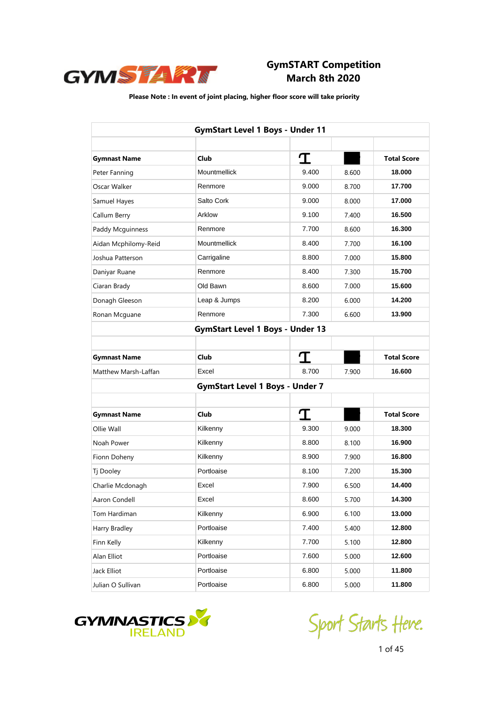

|                      | <b>GymStart Level 1 Boys - Under 11</b> |       |       |                    |
|----------------------|-----------------------------------------|-------|-------|--------------------|
|                      |                                         |       |       |                    |
| <b>Gymnast Name</b>  | Club                                    | I     |       | <b>Total Score</b> |
| Peter Fanning        | Mountmellick                            | 9.400 | 8.600 | 18.000             |
| Oscar Walker         | Renmore                                 | 9.000 | 8.700 | 17.700             |
| Samuel Hayes         | Salto Cork                              | 9.000 | 8.000 | 17.000             |
| Callum Berry         | Arklow                                  | 9.100 | 7.400 | 16.500             |
| Paddy Mcguinness     | Renmore                                 | 7.700 | 8.600 | 16.300             |
| Aidan Mcphilomy-Reid | Mountmellick                            | 8.400 | 7.700 | 16.100             |
| Joshua Patterson     | Carrigaline                             | 8.800 | 7.000 | 15,800             |
| Daniyar Ruane        | Renmore                                 | 8.400 | 7.300 | 15.700             |
| Ciaran Brady         | Old Bawn                                | 8.600 | 7.000 | 15.600             |
| Donagh Gleeson       | Leap & Jumps                            | 8.200 | 6.000 | 14.200             |
| Ronan Mcguane        | Renmore                                 | 7.300 | 6.600 | 13.900             |
|                      | <b>GymStart Level 1 Boys - Under 13</b> |       |       |                    |
|                      |                                         |       |       |                    |
| <b>Gymnast Name</b>  | Club                                    |       |       | <b>Total Score</b> |
| Matthew Marsh-Laffan | Excel                                   | 8.700 | 7.900 | 16.600             |
|                      | <b>GymStart Level 1 Boys - Under 7</b>  |       |       |                    |
|                      |                                         |       |       |                    |
| <b>Gymnast Name</b>  | Club                                    | T     |       | <b>Total Score</b> |
| Ollie Wall           | Kilkenny                                | 9.300 | 9.000 | 18.300             |
| Noah Power           | Kilkenny                                | 8.800 | 8.100 | 16.900             |
| Fionn Doheny         | Kilkenny                                | 8.900 | 7.900 | 16,800             |
| Tj Dooley            | Portloaise                              | 8.100 | 7.200 | 15.300             |
| Charlie Mcdonagh     | Excel                                   | 7.900 | 6.500 | 14.400             |
| Aaron Condell        | Excel                                   | 8.600 | 5.700 | 14.300             |
| Tom Hardiman         | Kilkenny                                | 6.900 | 6.100 | 13.000             |
| Harry Bradley        | Portloaise                              | 7.400 | 5.400 | 12.800             |
| Finn Kelly           | Kilkenny                                | 7.700 | 5.100 | 12.800             |
| Alan Elliot          | Portloaise                              | 7.600 | 5.000 | 12.600             |
| Jack Elliot          | Portloaise                              | 6.800 | 5.000 | 11.800             |
| Julian O Sullivan    | Portloaise                              | 6.800 | 5.000 | 11.800             |



Sport Starts Heve.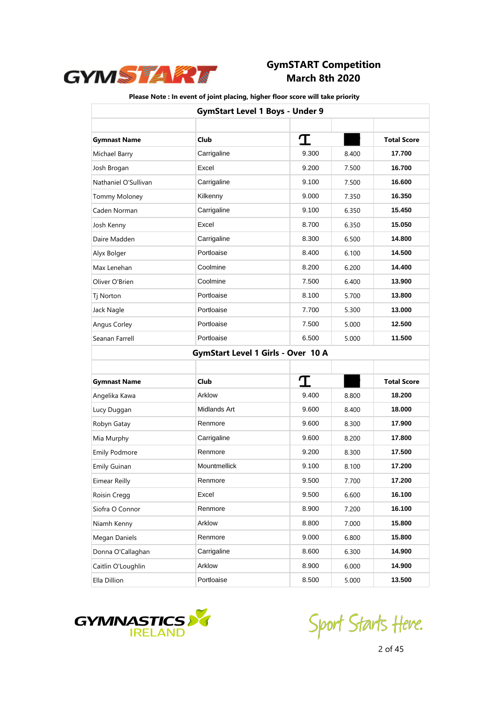

|                      | <b>GymStart Level 1 Boys - Under 9</b>    |       |       |                    |
|----------------------|-------------------------------------------|-------|-------|--------------------|
|                      |                                           |       |       |                    |
| <b>Gymnast Name</b>  | <b>Club</b>                               | I     |       | <b>Total Score</b> |
| Michael Barry        | Carrigaline                               | 9.300 | 8.400 | 17.700             |
| Josh Brogan          | Excel                                     | 9.200 | 7.500 | 16.700             |
| Nathaniel O'Sullivan | Carrigaline                               | 9.100 | 7.500 | 16.600             |
| <b>Tommy Moloney</b> | Kilkenny                                  | 9.000 | 7.350 | 16.350             |
| Caden Norman         | Carrigaline                               | 9.100 | 6.350 | 15.450             |
| Josh Kenny           | Excel                                     | 8.700 | 6.350 | 15.050             |
| Daire Madden         | Carrigaline                               | 8.300 | 6.500 | 14.800             |
| Alyx Bolger          | Portloaise                                | 8.400 | 6.100 | 14.500             |
| Max Lenehan          | Coolmine                                  | 8.200 | 6.200 | 14.400             |
| Oliver O'Brien       | Coolmine                                  | 7.500 | 6.400 | 13.900             |
| Tj Norton            | Portloaise                                | 8.100 | 5.700 | 13.800             |
| Jack Nagle           | Portloaise                                | 7.700 | 5.300 | 13.000             |
| Angus Corley         | Portloaise                                | 7.500 | 5.000 | 12.500             |
| Seanan Farrell       | Portloaise                                | 6.500 | 5.000 | 11.500             |
|                      | <b>GymStart Level 1 Girls - Over 10 A</b> |       |       |                    |
|                      |                                           |       |       |                    |
| <b>Gymnast Name</b>  | Club                                      | T     |       | <b>Total Score</b> |
| Angelika Kawa        | Arklow                                    | 9.400 | 8.800 | 18.200             |
| Lucy Duggan          | Midlands Art                              | 9.600 | 8.400 | 18.000             |
| Robyn Gatay          | Renmore                                   | 9.600 | 8.300 | 17.900             |
| Mia Murphy           | Carrigaline                               | 9.600 | 8.200 | 17.800             |
| <b>Emily Podmore</b> | Renmore                                   | 9.200 | 8.300 | 17.500             |
| <b>Emily Guinan</b>  | Mountmellick                              | 9.100 | 8.100 | 17.200             |
| Eimear Reilly        | Renmore                                   | 9.500 | 7.700 | 17.200             |
| Roisin Cregg         | Excel                                     | 9.500 | 6.600 | 16.100             |
| Siofra O Connor      | Renmore                                   | 8.900 | 7.200 | 16.100             |
| Niamh Kenny          | Arklow                                    | 8.800 | 7.000 | 15.800             |
| Megan Daniels        | Renmore                                   | 9.000 | 6.800 | 15.800             |
| Donna O'Callaghan    | Carrigaline                               | 8.600 | 6.300 | 14.900             |
| Caitlin O'Loughlin   | Arklow                                    | 8.900 | 6.000 | 14.900             |
| Ella Dillion         | Portloaise                                | 8.500 | 5.000 | 13.500             |



Sport Starts Heve.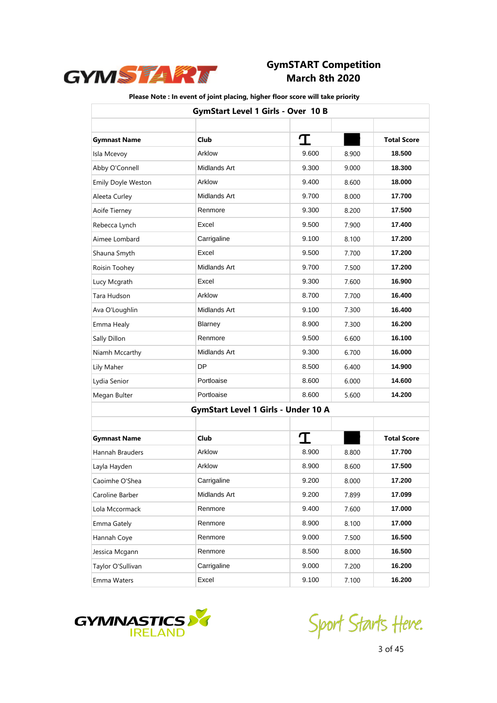

|                     | GymStart Level 1 Girls - Over 10 B         |       |       |                    |
|---------------------|--------------------------------------------|-------|-------|--------------------|
| <b>Gymnast Name</b> | <b>Club</b>                                | I     |       | <b>Total Score</b> |
| Isla Mcevoy         | Arklow                                     | 9.600 | 8.900 | 18.500             |
| Abby O'Connell      | Midlands Art                               | 9.300 | 9.000 | 18.300             |
| Emily Doyle Weston  | Arklow                                     | 9.400 | 8.600 | 18.000             |
| Aleeta Curley       | Midlands Art                               | 9.700 | 8.000 | 17.700             |
| Aoife Tierney       | Renmore                                    | 9.300 | 8.200 | 17.500             |
| Rebecca Lynch       | Excel                                      | 9.500 | 7.900 | 17.400             |
| Aimee Lombard       | Carrigaline                                | 9.100 | 8.100 | 17.200             |
| Shauna Smyth        | Excel                                      | 9.500 | 7.700 | 17.200             |
| Roisin Toohey       | Midlands Art                               | 9.700 | 7.500 | 17.200             |
| Lucy Mcgrath        | Excel                                      | 9.300 | 7.600 | 16.900             |
| Tara Hudson         | Arklow                                     | 8.700 | 7.700 | 16.400             |
| Ava O'Loughlin      | Midlands Art                               | 9.100 | 7.300 | 16.400             |
| Emma Healy          | Blarney                                    | 8.900 | 7.300 | 16.200             |
| Sally Dillon        | Renmore                                    | 9.500 | 6.600 | 16.100             |
| Niamh Mccarthy      | Midlands Art                               | 9.300 | 6.700 | 16.000             |
| Lily Maher          | DP                                         | 8.500 | 6.400 | 14.900             |
| Lydia Senior        | Portloaise                                 | 8.600 | 6.000 | 14.600             |
| Megan Bulter        | Portloaise                                 | 8.600 | 5.600 | 14.200             |
|                     | <b>GymStart Level 1 Girls - Under 10 A</b> |       |       |                    |
| <b>Gymnast Name</b> | <b>Club</b>                                | T     |       | <b>Total Score</b> |
| Hannah Brauders     | Arklow                                     | 8.900 | 8.800 | 17.700             |
| Layla Hayden        | Arklow                                     | 8.900 | 8.600 | 17.500             |
| Caoimhe O'Shea      | Carrigaline                                | 9.200 | 8.000 | 17.200             |
| Caroline Barber     | Midlands Art                               | 9.200 | 7.899 | 17.099             |
| Lola Mccormack      | Renmore                                    | 9.400 | 7.600 | 17.000             |
| Emma Gately         | Renmore                                    | 8.900 | 8.100 | 17.000             |
| Hannah Coye         | Renmore                                    | 9.000 | 7.500 | 16.500             |
| Jessica Mcgann      | Renmore                                    | 8.500 | 8.000 | 16.500             |
| Taylor O'Sullivan   | Carrigaline                                | 9.000 | 7.200 | 16.200             |
| Emma Waters         | Excel                                      | 9.100 | 7.100 | 16.200             |



Sport Starts Heve.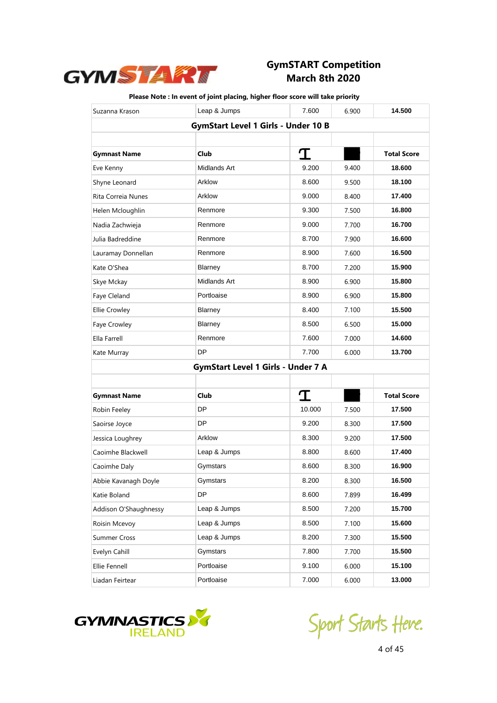

| Suzanna Krason        | Leap & Jumps                               | 7.600  | 6.900 | 14.500             |
|-----------------------|--------------------------------------------|--------|-------|--------------------|
|                       | <b>GymStart Level 1 Girls - Under 10 B</b> |        |       |                    |
|                       |                                            |        |       |                    |
| <b>Gymnast Name</b>   | <b>Club</b>                                | I      |       | <b>Total Score</b> |
| Eve Kenny             | Midlands Art                               | 9.200  | 9.400 | 18.600             |
| Shyne Leonard         | Arklow                                     | 8.600  | 9.500 | 18.100             |
| Rita Correia Nunes    | Arklow                                     | 9.000  | 8.400 | 17.400             |
| Helen Mcloughlin      | Renmore                                    | 9.300  | 7.500 | 16.800             |
| Nadia Zachwieja       | Renmore                                    | 9.000  | 7.700 | 16.700             |
| Julia Badreddine      | Renmore                                    | 8.700  | 7.900 | 16.600             |
| Lauramay Donnellan    | Renmore                                    | 8.900  | 7.600 | 16.500             |
| Kate O'Shea           | Blarney                                    | 8.700  | 7.200 | 15.900             |
| Skye Mckay            | Midlands Art                               | 8.900  | 6.900 | 15.800             |
| Faye Cleland          | Portloaise                                 | 8.900  | 6.900 | 15.800             |
| <b>Ellie Crowley</b>  | Blarney                                    | 8.400  | 7.100 | 15.500             |
| Faye Crowley          | Blarney                                    | 8.500  | 6.500 | 15.000             |
| Ella Farrell          | Renmore                                    | 7.600  | 7.000 | 14.600             |
| Kate Murray           | DP                                         | 7.700  | 6.000 | 13.700             |
|                       | <b>GymStart Level 1 Girls - Under 7 A</b>  |        |       |                    |
|                       |                                            |        |       |                    |
| <b>Gymnast Name</b>   | Club                                       | T      |       | <b>Total Score</b> |
| Robin Feeley          | DP                                         | 10.000 | 7.500 | 17.500             |
| Saoirse Joyce         | <b>DP</b>                                  | 9.200  | 8.300 | 17.500             |
| Jessica Loughrey      | Arklow                                     | 8.300  | 9.200 | 17.500             |
| Caoimhe Blackwell     | Leap & Jumps                               | 8.800  | 8.600 | 17.400             |
| Caoimhe Daly          | Gymstars                                   | 8.600  | 8.300 | 16.900             |
| Abbie Kavanagh Doyle  | Gymstars                                   | 8.200  | 8.300 | 16.500             |
| Katie Boland          | <b>DP</b>                                  | 8.600  | 7.899 | 16.499             |
| Addison O'Shaughnessy | Leap & Jumps                               | 8.500  | 7.200 | 15.700             |
| Roisin Mcevoy         | Leap & Jumps                               | 8.500  | 7.100 | 15.600             |
| Summer Cross          | Leap & Jumps                               | 8.200  | 7.300 | 15.500             |
| Evelyn Cahill         | Gymstars                                   | 7.800  | 7.700 | 15.500             |
| Ellie Fennell         | Portloaise                                 | 9.100  | 6.000 | 15.100             |
| Liadan Feirtear       | Portloaise                                 | 7.000  | 6.000 | 13.000             |



Sport Starts Heve.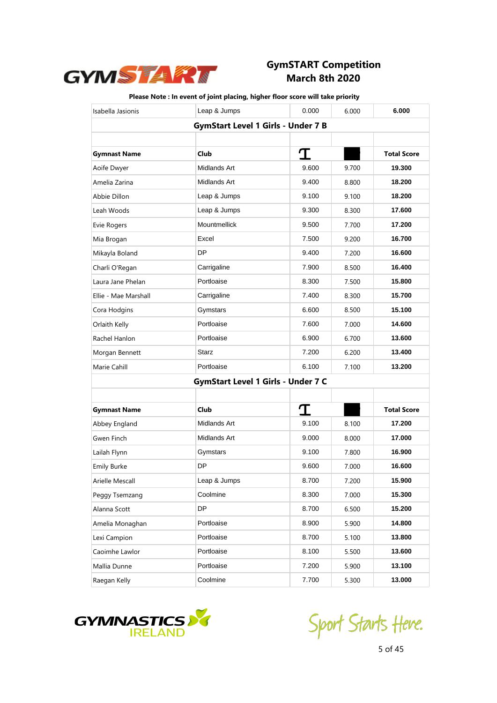

| Isabella Jasionis    | Leap & Jumps                              | 0.000 | 6.000 | 6.000              |
|----------------------|-------------------------------------------|-------|-------|--------------------|
|                      | <b>GymStart Level 1 Girls - Under 7 B</b> |       |       |                    |
|                      |                                           |       |       |                    |
| <b>Gymnast Name</b>  | Club                                      | T     |       | <b>Total Score</b> |
| Aoife Dwyer          | Midlands Art                              | 9.600 | 9.700 | 19.300             |
| Amelia Zarina        | Midlands Art                              | 9.400 | 8.800 | 18.200             |
| Abbie Dillon         | Leap & Jumps                              | 9.100 | 9.100 | 18.200             |
| Leah Woods           | Leap & Jumps                              | 9.300 | 8.300 | 17.600             |
| Evie Rogers          | <b>Mountmellick</b>                       | 9.500 | 7.700 | 17.200             |
| Mia Brogan           | Excel                                     | 7.500 | 9.200 | 16.700             |
| Mikayla Boland       | DP                                        | 9.400 | 7.200 | 16.600             |
| Charli O'Regan       | Carrigaline                               | 7.900 | 8.500 | 16.400             |
| Laura Jane Phelan    | Portloaise                                | 8.300 | 7.500 | 15.800             |
| Ellie - Mae Marshall | Carrigaline                               | 7.400 | 8.300 | 15.700             |
| Cora Hodgins         | Gymstars                                  | 6.600 | 8.500 | 15.100             |
| Orlaith Kelly        | Portloaise                                | 7.600 | 7.000 | 14.600             |
| Rachel Hanlon        | Portloaise                                | 6.900 | 6.700 | 13.600             |
| Morgan Bennett       | <b>Starz</b>                              | 7.200 | 6.200 | 13.400             |
| Marie Cahill         | Portloaise                                | 6.100 | 7.100 | 13.200             |
|                      | GymStart Level 1 Girls - Under 7 C        |       |       |                    |
|                      |                                           |       |       |                    |
| <b>Gymnast Name</b>  | Club                                      | T     |       | <b>Total Score</b> |
| Abbey England        | Midlands Art                              | 9.100 | 8.100 | 17.200             |
| Gwen Finch           | Midlands Art                              | 9.000 | 8.000 | 17.000             |
| Lailah Flynn         | Gymstars                                  | 9.100 | 7.800 | 16.900             |
| <b>Emily Burke</b>   | DP                                        | 9.600 | 7.000 | 16.600             |
| Arielle Mescall      | Leap & Jumps                              | 8.700 | 7.200 | 15.900             |
| Peggy Tsemzang       | Coolmine                                  | 8.300 | 7.000 | 15.300             |
| Alanna Scott         | DP                                        | 8.700 | 6.500 | 15.200             |
| Amelia Monaghan      | Portloaise                                | 8.900 | 5.900 | 14.800             |
| Lexi Campion         | Portloaise                                | 8.700 | 5.100 | 13.800             |
| Caoimhe Lawlor       | Portloaise                                | 8.100 | 5.500 | 13.600             |
| Mallia Dunne         | Portloaise                                | 7.200 | 5.900 | 13.100             |
| Raegan Kelly         | Coolmine                                  | 7.700 | 5.300 | 13.000             |



Sport Starts Heve.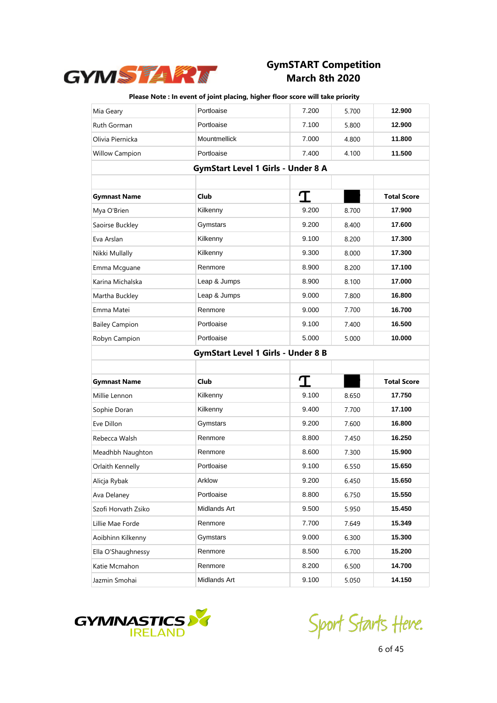

| Mia Geary                                 | Portloaise                                | 7.200 | 5.700 | 12.900             |
|-------------------------------------------|-------------------------------------------|-------|-------|--------------------|
| Ruth Gorman                               | Portloaise                                | 7.100 | 5.800 | 12.900             |
| Olivia Piernicka                          | Mountmellick                              | 7.000 | 4.800 | 11.800             |
| <b>Willow Campion</b>                     | Portloaise                                | 7.400 | 4.100 | 11.500             |
|                                           | <b>GymStart Level 1 Girls - Under 8 A</b> |       |       |                    |
|                                           |                                           |       |       |                    |
| <b>Gymnast Name</b>                       | <b>Club</b>                               | T     |       | <b>Total Score</b> |
| Mya O'Brien                               | Kilkenny                                  | 9.200 | 8.700 | 17.900             |
| Saoirse Buckley                           | Gymstars                                  | 9.200 | 8.400 | 17.600             |
| Eva Arslan                                | Kilkenny                                  | 9.100 | 8.200 | 17.300             |
| Nikki Mullally                            | Kilkenny                                  | 9.300 | 8.000 | 17.300             |
| Emma Mcguane                              | Renmore                                   | 8.900 | 8.200 | 17.100             |
| Karina Michalska                          | Leap & Jumps                              | 8.900 | 8.100 | 17.000             |
| Martha Buckley                            | Leap & Jumps                              | 9.000 | 7.800 | 16.800             |
| Emma Matei                                | Renmore                                   | 9.000 | 7.700 | 16.700             |
| <b>Bailey Campion</b>                     | Portloaise                                | 9.100 | 7.400 | 16.500             |
| Robyn Campion                             | Portloaise                                | 5.000 | 5.000 | 10.000             |
| <b>GymStart Level 1 Girls - Under 8 B</b> |                                           |       |       |                    |
|                                           |                                           |       |       |                    |
|                                           |                                           |       |       |                    |
| <b>Gymnast Name</b>                       | <b>Club</b>                               | T     |       | <b>Total Score</b> |
| Millie Lennon                             | Kilkenny                                  | 9.100 | 8.650 | 17.750             |
| Sophie Doran                              | Kilkenny                                  | 9.400 | 7.700 | 17.100             |
| Eve Dillon                                | Gymstars                                  | 9.200 | 7.600 | 16.800             |
| Rebecca Walsh                             | Renmore                                   | 8.800 | 7.450 | 16.250             |
| Meadhbh Naughton                          | Renmore                                   | 8.600 | 7.300 | 15.900             |
| Orlaith Kennelly                          | Portloaise                                | 9.100 | 6.550 | 15.650             |
| Alicja Rybak                              | Arklow                                    | 9.200 | 6.450 | 15.650             |
| Ava Delaney                               | Portloaise                                | 8.800 | 6.750 | 15.550             |
| Szofi Horvath Zsiko                       | Midlands Art                              | 9.500 | 5.950 | 15.450             |
| Lillie Mae Forde                          | Renmore                                   | 7.700 | 7.649 | 15.349             |
| Aoibhinn Kilkenny                         | Gymstars                                  | 9.000 | 6.300 | 15.300             |
| Ella O'Shaughnessy                        | Renmore                                   | 8.500 | 6.700 | 15.200             |
| Katie Mcmahon                             | Renmore                                   | 8.200 | 6.500 | 14.700             |



Sport Starts Heve.<br>6 of 45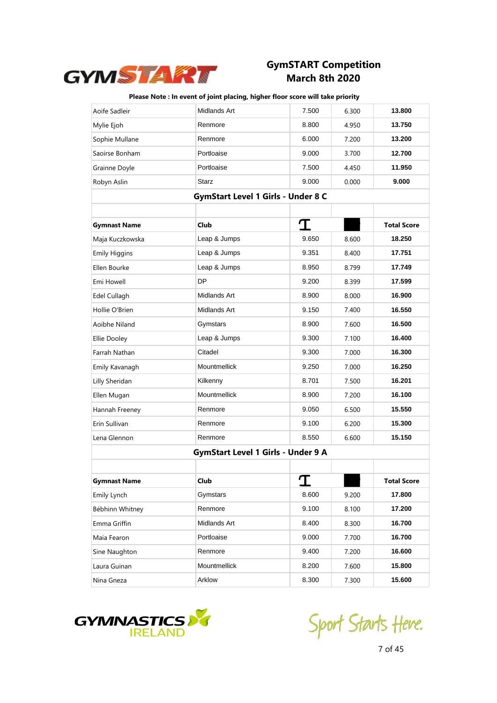

| Aoife Sadleir        | Midlands Art                       | 7.500 | 6.300 | 13.800             |
|----------------------|------------------------------------|-------|-------|--------------------|
| Mylie Ejoh           | Renmore                            | 8.800 | 4.950 | 13.750             |
| Sophie Mullane       | Renmore                            | 6.000 | 7.200 | 13.200             |
| Saoirse Bonham       | Portloaise                         | 9.000 | 3.700 | 12.700             |
| Grainne Doyle        | Portloaise                         | 7.500 | 4.450 | 11.950             |
| Robyn Aslin          | Starz                              | 9.000 | 0.000 | 9.000              |
|                      | GymStart Level 1 Girls - Under 8 C |       |       |                    |
|                      |                                    |       |       |                    |
| <b>Gymnast Name</b>  | Club                               | T     |       | <b>Total Score</b> |
| Maja Kuczkowska      | Leap & Jumps                       | 9.650 | 8.600 | 18.250             |
| <b>Emily Higgins</b> | Leap & Jumps                       | 9.351 | 8.400 | 17.751             |
| Ellen Bourke         | Leap & Jumps                       | 8.950 | 8.799 | 17.749             |
| Emi Howell           | <b>DP</b>                          | 9.200 | 8.399 | 17.599             |
| Edel Cullagh         | Midlands Art                       | 8.900 | 8.000 | 16.900             |
| Hollie O'Brien       | Midlands Art                       | 9.150 | 7.400 | 16.550             |
| Aoibhe Niland        | Gymstars                           | 8.900 | 7.600 | 16.500             |
| Ellie Dooley         | Leap & Jumps                       | 9.300 | 7.100 | 16.400             |
| Farrah Nathan        | Citadel                            | 9.300 | 7.000 | 16.300             |
| Emily Kavanagh       | Mountmellick                       | 9.250 | 7.000 | 16.250             |
| Lilly Sheridan       | Kilkenny                           | 8.701 | 7.500 | 16.201             |
| Ellen Mugan          | <b>Mountmellick</b>                | 8.900 | 7.200 | 16.100             |
| Hannah Freeney       | Renmore                            | 9.050 | 6.500 | 15.550             |
| Erin Sullivan        | Renmore                            | 9.100 | 6.200 | 15.300             |
| Lena Glennon         | Renmore                            | 8.550 | 6.600 | 15.150             |
|                      | GymStart Level 1 Girls - Under 9 A |       |       |                    |
|                      |                                    |       |       |                    |
| <b>Gymnast Name</b>  | Club                               | T     |       | Total Score        |
| Emily Lynch          | Gymstars                           | 8.600 | 9.200 | 17.800             |
| Bébhinn Whitney      | Renmore                            | 9.100 | 8.100 | 17.200             |
| Emma Griffin         | Midlands Art                       | 8.400 | 8.300 | 16.700             |
| Maia Fearon          | Portloaise                         | 9.000 | 7.700 | 16.700             |
| Sine Naughton        | Renmore                            | 9.400 | 7.200 | 16.600             |
| Laura Guinan         | Mountmellick                       | 8.200 | 7.600 | 15.800             |
| Nina Gneza           | Arklow                             | 8.300 | 7.300 | 15.600             |



Sport Starts Heve.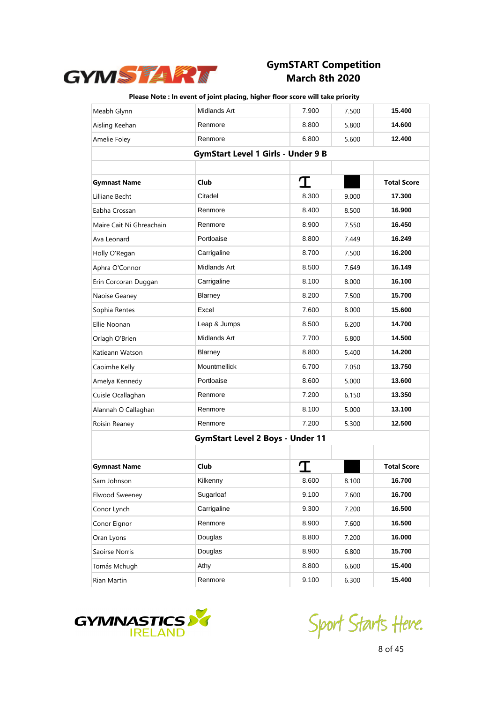

| Meabh Glynn              | Midlands Art                              | 7.900 | 7.500 | 15.400             |
|--------------------------|-------------------------------------------|-------|-------|--------------------|
| Aisling Keehan           | Renmore                                   | 8.800 | 5.800 | 14.600             |
| Amelie Foley             | Renmore                                   | 6.800 | 5.600 | 12.400             |
|                          | <b>GymStart Level 1 Girls - Under 9 B</b> |       |       |                    |
|                          |                                           |       |       |                    |
| <b>Gymnast Name</b>      | Club                                      | I     |       | <b>Total Score</b> |
| Lilliane Becht           | Citadel                                   | 8.300 | 9.000 | 17.300             |
| Eabha Crossan            | Renmore                                   | 8.400 | 8.500 | 16.900             |
| Maire Cait Ni Ghreachain | Renmore                                   | 8.900 | 7.550 | 16.450             |
| Ava Leonard              | Portloaise                                | 8.800 | 7.449 | 16.249             |
| Holly O'Regan            | Carrigaline                               | 8.700 | 7.500 | 16.200             |
| Aphra O'Connor           | Midlands Art                              | 8.500 | 7.649 | 16.149             |
| Erin Corcoran Duggan     | Carrigaline                               | 8.100 | 8.000 | 16.100             |
| Naoise Geaney            | Blarney                                   | 8.200 | 7.500 | 15.700             |
| Sophia Rentes            | Excel                                     | 7.600 | 8.000 | 15.600             |
| Ellie Noonan             | Leap & Jumps                              | 8.500 | 6.200 | 14.700             |
| Orlagh O'Brien           | Midlands Art                              | 7.700 | 6.800 | 14.500             |
| Katieann Watson          | Blarney                                   | 8.800 | 5.400 | 14.200             |
| Caoimhe Kelly            | <b>Mountmellick</b>                       | 6.700 | 7.050 | 13.750             |
| Amelya Kennedy           | Portloaise                                | 8.600 | 5.000 | 13.600             |
| Cuisle Ocallaghan        | Renmore                                   | 7.200 | 6.150 | 13.350             |
| Alannah O Callaghan      | Renmore                                   | 8.100 | 5.000 | 13.100             |
| Roisin Reaney            | Renmore                                   | 7.200 | 5.300 | 12.500             |
|                          | <b>GymStart Level 2 Boys - Under 11</b>   |       |       |                    |
|                          |                                           |       |       |                    |
| <b>Gymnast Name</b>      | Club                                      |       |       | <b>Total Score</b> |
| Sam Johnson              | Kilkenny                                  | 8.600 | 8.100 | 16.700             |
| Elwood Sweeney           | Sugarloaf                                 | 9.100 | 7.600 | 16.700             |
| Conor Lynch              | Carrigaline                               | 9.300 | 7.200 | 16.500             |
| Conor Eignor             | Renmore                                   | 8.900 | 7.600 | 16.500             |
| Oran Lyons               | Douglas                                   | 8.800 | 7.200 | 16.000             |
| Saoirse Norris           | Douglas                                   | 8.900 | 6.800 | 15.700             |
| Tomás Mchugh             | Athy                                      | 8.800 | 6.600 | 15.400             |
| Rian Martin              | Renmore                                   | 9.100 | 6.300 | 15.400             |



Sport Starts Heve.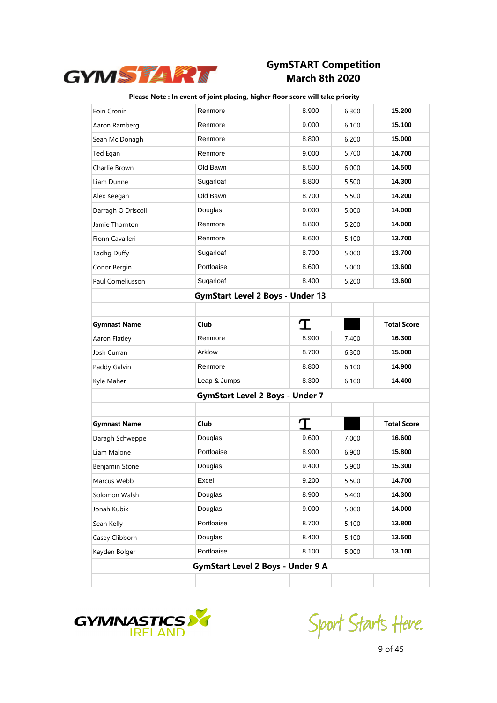

| Eoin Cronin         | Renmore                                  | 8.900 | 6.300 | 15.200             |
|---------------------|------------------------------------------|-------|-------|--------------------|
| Aaron Ramberg       | Renmore                                  | 9.000 | 6.100 | 15.100             |
| Sean Mc Donagh      | Renmore                                  | 8.800 | 6.200 | 15.000             |
| Ted Egan            | Renmore                                  | 9.000 | 5.700 | 14.700             |
| Charlie Brown       | Old Bawn                                 | 8.500 | 6.000 | 14.500             |
| Liam Dunne          | Sugarloaf                                | 8.800 | 5.500 | 14.300             |
| Alex Keegan         | Old Bawn                                 | 8.700 | 5.500 | 14.200             |
| Darragh O Driscoll  | Douglas                                  | 9.000 | 5.000 | 14.000             |
| Jamie Thornton      | Renmore                                  | 8.800 | 5.200 | 14.000             |
| Fionn Cavalleri     | Renmore                                  | 8.600 | 5.100 | 13.700             |
| Tadhg Duffy         | Sugarloaf                                | 8.700 | 5.000 | 13.700             |
| Conor Bergin        | Portloaise                               | 8.600 | 5.000 | 13.600             |
| Paul Corneliusson   | Sugarloaf                                | 8.400 | 5.200 | 13.600             |
|                     | <b>GymStart Level 2 Boys - Under 13</b>  |       |       |                    |
|                     |                                          |       |       |                    |
| <b>Gymnast Name</b> | <b>Club</b>                              | I     |       | <b>Total Score</b> |
| Aaron Flatley       | Renmore                                  | 8.900 | 7.400 | 16.300             |
| Josh Curran         | Arklow                                   | 8.700 | 6.300 | 15.000             |
| Paddy Galvin        | Renmore                                  | 8.800 | 6.100 | 14.900             |
| Kyle Maher          | Leap & Jumps                             | 8.300 | 6.100 | 14.400             |
|                     | <b>GymStart Level 2 Boys - Under 7</b>   |       |       |                    |
|                     |                                          |       |       |                    |
| <b>Gymnast Name</b> | Club                                     | I     |       | <b>Total Score</b> |
| Daragh Schweppe     | Douglas                                  | 9.600 | 7.000 | 16.600             |
| Liam Malone         | Portloaise                               | 8.900 | 6.900 | 15.800             |
| Benjamin Stone      | Douglas                                  | 9.400 | 5.900 | 15.300             |
| Marcus Webb         | Excel                                    | 9.200 | 5.500 | 14.700             |
| Solomon Walsh       | Douglas                                  | 8.900 | 5.400 | 14.300             |
| Jonah Kubik         | Douglas                                  | 9.000 | 5.000 | 14.000             |
| Sean Kelly          | Portloaise                               | 8.700 | 5.100 | 13.800             |
| Casey Clibborn      | Douglas                                  | 8.400 | 5.100 | 13.500             |
| Kayden Bolger       | Portloaise                               | 8.100 | 5.000 | 13.100             |
|                     | <b>GymStart Level 2 Boys - Under 9 A</b> |       |       |                    |
|                     |                                          |       |       |                    |



Sport Starts Heve.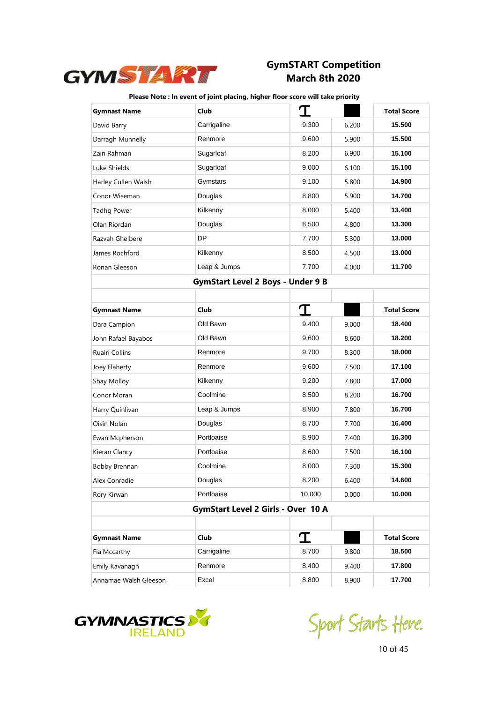

| <b>Gymnast Name</b>   | Club                                     | 勹      |       | <b>Total Score</b> |
|-----------------------|------------------------------------------|--------|-------|--------------------|
| David Barry           | Carrigaline                              | 9.300  | 6.200 | 15.500             |
| Darragh Munnelly      | Renmore                                  | 9.600  | 5.900 | 15.500             |
| Zain Rahman           | Sugarloaf                                | 8.200  | 6.900 | 15.100             |
| Luke Shields          | Sugarloaf                                | 9.000  | 6.100 | 15.100             |
| Harley Cullen Walsh   | Gymstars                                 | 9.100  | 5.800 | 14.900             |
| Conor Wiseman         | Douglas                                  | 8.800  | 5.900 | 14.700             |
| <b>Tadhg Power</b>    | Kilkenny                                 | 8.000  | 5.400 | 13.400             |
| Olan Riordan          | Douglas                                  | 8.500  | 4.800 | 13.300             |
| Razvah Ghelbere       | <b>DP</b>                                | 7.700  | 5.300 | 13.000             |
| James Rochford        | Kilkenny                                 | 8.500  | 4.500 | 13.000             |
| Ronan Gleeson         | Leap & Jumps                             | 7.700  | 4.000 | 11.700             |
|                       | <b>GymStart Level 2 Boys - Under 9 B</b> |        |       |                    |
|                       |                                          |        |       |                    |
| <b>Gymnast Name</b>   | Club                                     | T      |       | <b>Total Score</b> |
| Dara Campion          | Old Bawn                                 | 9.400  | 9.000 | 18.400             |
| John Rafael Bayabos   | Old Bawn                                 | 9.600  | 8.600 | 18.200             |
| Ruairi Collins        | Renmore                                  | 9.700  | 8.300 | 18.000             |
| Joey Flaherty         | Renmore                                  | 9.600  | 7.500 | 17.100             |
| Shay Molloy           | Kilkenny                                 | 9.200  | 7.800 | 17.000             |
| Conor Moran           | Coolmine                                 | 8.500  | 8.200 | 16.700             |
| Harry Quinlivan       | Leap & Jumps                             | 8.900  | 7.800 | 16.700             |
| Oisin Nolan           | Douglas                                  | 8.700  | 7.700 | 16.400             |
| Ewan Mcpherson        | Portloaise                               | 8.900  | 7.400 | 16.300             |
| Kieran Clancy         | Portloaise                               | 8.600  | 7.500 | 16.100             |
| Bobby Brennan         | Coolmine                                 | 8.000  | 7.300 | 15.300             |
| Alex Conradie         | Douglas                                  | 8.200  | 6.400 | 14.600             |
| Rory Kirwan           | Portloaise                               | 10.000 | 0.000 | 10.000             |
|                       | GymStart Level 2 Girls - Over 10 A       |        |       |                    |
|                       |                                          |        |       |                    |
| <b>Gymnast Name</b>   | Club                                     | I      |       | <b>Total Score</b> |
| Fia Mccarthy          | Carrigaline                              | 8.700  | 9.800 | 18.500             |
| Emily Kavanagh        | Renmore                                  | 8.400  | 9.400 | 17.800             |
| Annamae Walsh Gleeson | Excel                                    | 8.800  | 8.900 | 17.700             |



Sport Starts Heve.

10 of 45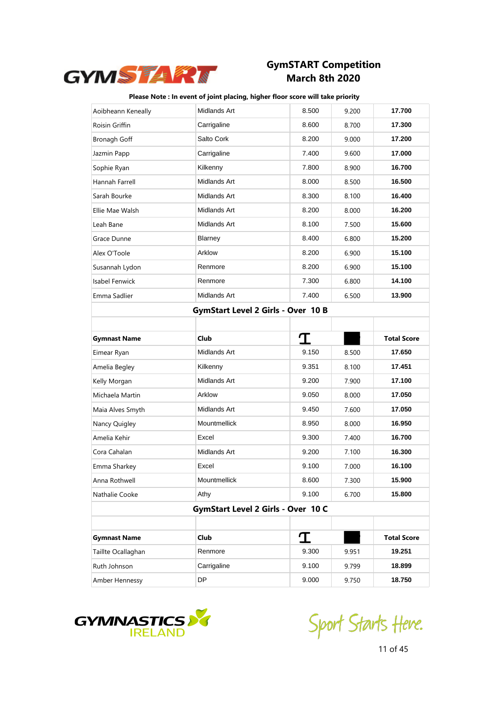

| Aoibheann Keneally  | <b>Midlands Art</b>                       | 8.500 | 9.200 | 17.700             |
|---------------------|-------------------------------------------|-------|-------|--------------------|
| Roisin Griffin      | Carrigaline                               | 8.600 | 8.700 | 17.300             |
| Bronagh Goff        | Salto Cork                                | 8.200 | 9.000 | 17.200             |
| Jazmin Papp         | Carrigaline                               | 7.400 | 9.600 | 17.000             |
| Sophie Ryan         | Kilkenny                                  | 7.800 | 8.900 | 16.700             |
| Hannah Farrell      | Midlands Art                              | 8.000 | 8.500 | 16.500             |
| Sarah Bourke        | Midlands Art                              | 8.300 | 8.100 | 16.400             |
| Ellie Mae Walsh     | Midlands Art                              | 8.200 | 8.000 | 16.200             |
| Leah Bane           | Midlands Art                              | 8.100 | 7.500 | 15.600             |
| Grace Dunne         | <b>Blarney</b>                            | 8.400 | 6.800 | 15.200             |
| Alex O'Toole        | Arklow                                    | 8.200 | 6.900 | 15.100             |
| Susannah Lydon      | Renmore                                   | 8.200 | 6.900 | 15.100             |
| Isabel Fenwick      | Renmore                                   | 7.300 | 6.800 | 14.100             |
| Emma Sadlier        | Midlands Art                              | 7.400 | 6.500 | 13.900             |
|                     | <b>GymStart Level 2 Girls - Over 10 B</b> |       |       |                    |
|                     |                                           |       |       |                    |
| <b>Gymnast Name</b> | Club                                      | I     |       | <b>Total Score</b> |
| Eimear Ryan         | Midlands Art                              | 9.150 | 8.500 | 17.650             |
|                     |                                           |       |       |                    |
| Amelia Begley       | Kilkenny                                  | 9.351 | 8.100 | 17.451             |
| Kelly Morgan        | Midlands Art                              | 9.200 | 7.900 | 17.100             |
| Michaela Martin     | Arklow                                    | 9.050 | 8.000 | 17.050             |
| Maia Alves Smyth    | Midlands Art                              | 9.450 | 7.600 | 17.050             |
| Nancy Quigley       | Mountmellick                              | 8.950 | 8.000 | 16.950             |
| Amelia Kehir        | Excel                                     | 9.300 | 7.400 | 16.700             |
| Cora Cahalan        | Midlands Art                              | 9.200 | 7.100 | 16.300             |
| Emma Sharkey        | Excel                                     | 9.100 | 7.000 | 16.100             |
| Anna Rothwell       | Mountmellick                              | 8.600 | 7.300 | 15.900             |
| Nathalie Cooke      | Athy                                      | 9.100 | 6.700 | 15.800             |
|                     | GymStart Level 2 Girls - Over 10 C        |       |       |                    |
|                     |                                           |       |       |                    |
| <b>Gymnast Name</b> | Club                                      | I     |       | <b>Total Score</b> |
| Taillte Ocallaghan  | Renmore                                   | 9.300 | 9.951 | 19.251             |
| Ruth Johnson        | Carrigaline                               | 9.100 | 9.799 | 18.899             |



Sport Starts Heve.

11 of 45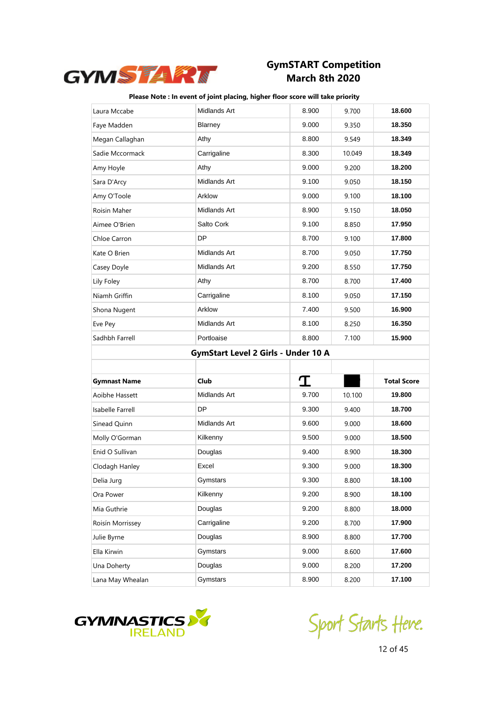

| Laura Mccabe        | Midlands Art                        | 8.900 | 9.700  | 18.600             |
|---------------------|-------------------------------------|-------|--------|--------------------|
| Faye Madden         | Blarney                             | 9.000 | 9.350  | 18.350             |
| Megan Callaghan     | Athy                                | 8.800 | 9.549  | 18.349             |
| Sadie Mccormack     | Carrigaline                         | 8.300 | 10.049 | 18.349             |
| Amy Hoyle           | Athy                                | 9.000 | 9.200  | 18.200             |
| Sara D'Arcy         | Midlands Art                        | 9.100 | 9.050  | 18.150             |
| Amy O'Toole         | Arklow                              | 9.000 | 9.100  | 18.100             |
| Roisin Maher        | Midlands Art                        | 8.900 | 9.150  | 18.050             |
| Aimee O'Brien       | Salto Cork                          | 9.100 | 8.850  | 17.950             |
| Chloe Carron        | DP                                  | 8.700 | 9.100  | 17.800             |
| Kate O Brien        | Midlands Art                        | 8.700 | 9.050  | 17.750             |
| Casey Doyle         | Midlands Art                        | 9.200 | 8.550  | 17.750             |
| Lily Foley          | Athy                                | 8.700 | 8.700  | 17.400             |
| Niamh Griffin       | Carrigaline                         | 8.100 | 9.050  | 17.150             |
| Shona Nugent        | Arklow                              | 7.400 | 9.500  | 16.900             |
| Eve Pey             | Midlands Art                        | 8.100 | 8.250  | 16.350             |
| Sadhbh Farrell      | Portloaise                          | 8.800 | 7.100  | 15.900             |
|                     |                                     |       |        |                    |
|                     | GymStart Level 2 Girls - Under 10 A |       |        |                    |
|                     |                                     |       |        |                    |
| <b>Gymnast Name</b> | Club                                | I     |        | <b>Total Score</b> |
| Aoibhe Hassett      | Midlands Art                        | 9.700 | 10.100 | 19.800             |
| Isabelle Farrell    | <b>DP</b>                           | 9.300 | 9.400  | 18.700             |
| Sinead Quinn        | Midlands Art                        | 9.600 | 9.000  | 18.600             |
| Molly O'Gorman      | Kilkenny                            | 9.500 | 9.000  | 18.500             |
| Enid O Sullivan     | Douglas                             | 9.400 | 8.900  | 18.300             |
| Clodagh Hanley      | Excel                               | 9.300 | 9.000  | 18.300             |
| Delia Jurg          | Gymstars                            | 9.300 | 8.800  | 18.100             |
| Ora Power           | Kilkenny                            | 9.200 | 8.900  | 18.100             |
| Mia Guthrie         | Douglas                             | 9.200 | 8.800  | 18.000             |
| Roisín Morrissey    | Carrigaline                         | 9.200 | 8.700  | 17.900             |
| Julie Byrne         | Douglas                             | 8.900 | 8.800  | 17.700             |
| Ella Kirwin         | Gymstars                            | 9.000 | 8.600  | 17.600             |
| Una Doherty         | Douglas                             | 9.000 | 8.200  | 17.200             |



Sport Starts Heve.

12 of 45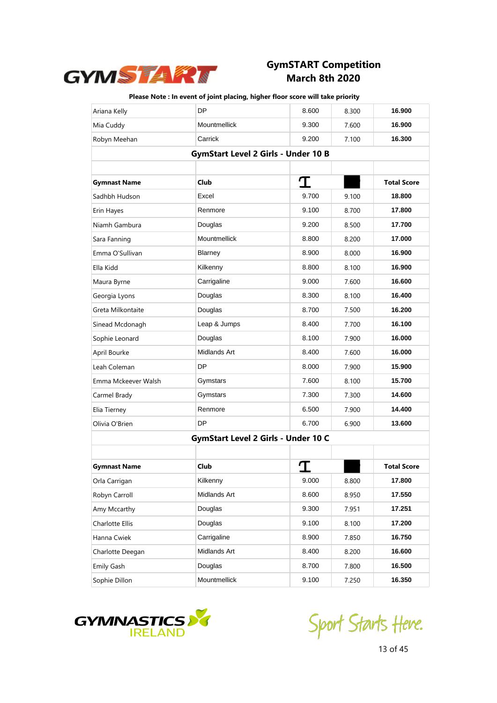

| Ariana Kelly        | DP                                         | 8.600 | 8.300 | 16.900             |
|---------------------|--------------------------------------------|-------|-------|--------------------|
| Mia Cuddy           | Mountmellick                               | 9.300 | 7.600 | 16.900             |
| Robyn Meehan        | Carrick                                    | 9.200 | 7.100 | 16.300             |
|                     | <b>GymStart Level 2 Girls - Under 10 B</b> |       |       |                    |
|                     |                                            |       |       |                    |
| <b>Gymnast Name</b> | <b>Club</b>                                | I     |       | <b>Total Score</b> |
| Sadhbh Hudson       | Excel                                      | 9.700 | 9.100 | 18.800             |
| Erin Hayes          | Renmore                                    | 9.100 | 8.700 | 17.800             |
| Niamh Gambura       | Douglas                                    | 9.200 | 8.500 | 17.700             |
| Sara Fanning        | Mountmellick                               | 8.800 | 8.200 | 17.000             |
| Emma O'Sullivan     | Blarney                                    | 8.900 | 8.000 | 16.900             |
| Ella Kidd           | Kilkenny                                   | 8.800 | 8.100 | 16.900             |
| Maura Byrne         | Carrigaline                                | 9.000 | 7.600 | 16.600             |
| Georgia Lyons       | Douglas                                    | 8.300 | 8.100 | 16.400             |
| Greta Milkontaite   | Douglas                                    | 8.700 | 7.500 | 16.200             |
| Sinead Mcdonagh     | Leap & Jumps                               | 8.400 | 7.700 | 16.100             |
| Sophie Leonard      | Douglas                                    | 8.100 | 7.900 | 16.000             |
| April Bourke        | Midlands Art                               | 8.400 | 7.600 | 16.000             |
| Leah Coleman        | DP                                         | 8.000 | 7.900 | 15.900             |
| Emma Mckeever Walsh | Gymstars                                   | 7.600 | 8.100 | 15.700             |
| Carmel Brady        | Gymstars                                   | 7.300 | 7.300 | 14.600             |
| Elia Tierney        | Renmore                                    | 6.500 | 7.900 | 14.400             |
| Olivia O'Brien      | DP                                         | 6.700 | 6.900 | 13.600             |
|                     | GymStart Level 2 Girls - Under 10 C        |       |       |                    |
|                     |                                            |       |       |                    |
| <b>Gymnast Name</b> | Club                                       |       |       | <b>Total Score</b> |
| Orla Carrigan       | Kilkenny                                   | 9.000 | 8.800 | 17.800             |
| Robyn Carroll       | Midlands Art                               | 8.600 | 8.950 | 17.550             |
| Amy Mccarthy        | Douglas                                    | 9.300 | 7.951 | 17.251             |
| Charlotte Ellis     | Douglas                                    | 9.100 | 8.100 | 17.200             |
| Hanna Cwiek         | Carrigaline                                | 8.900 | 7.850 | 16.750             |
| Charlotte Deegan    | Midlands Art                               | 8.400 | 8.200 | 16.600             |
| Emily Gash          | Douglas                                    | 8.700 | 7.800 | 16.500             |
| Sophie Dillon       | Mountmellick                               | 9.100 | 7.250 | 16.350             |



Sport Starts Heve.

13 of 45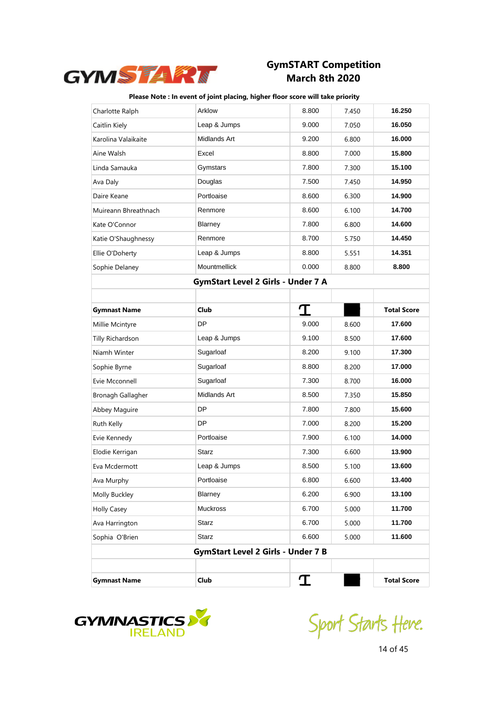

| Charlotte Ralph      | Arklow                                    | 8.800 | 7.450 | 16.250             |
|----------------------|-------------------------------------------|-------|-------|--------------------|
| Caitlin Kiely        | Leap & Jumps                              | 9.000 | 7.050 | 16.050             |
| Karolina Valaikaite  | Midlands Art                              | 9.200 | 6.800 | 16.000             |
| Aine Walsh           | Excel                                     | 8.800 | 7.000 | 15.800             |
| Linda Samauka        | Gymstars                                  | 7.800 | 7.300 | 15.100             |
| Ava Daly             | Douglas                                   | 7.500 | 7.450 | 14.950             |
| Daire Keane          | Portloaise                                | 8.600 | 6.300 | 14.900             |
| Muireann Bhreathnach | Renmore                                   | 8.600 | 6.100 | 14.700             |
| Kate O'Connor        | Blarney                                   | 7.800 | 6.800 | 14.600             |
| Katie O'Shaughnessy  | Renmore                                   | 8.700 | 5.750 | 14.450             |
| Ellie O'Doherty      | Leap & Jumps                              | 8.800 | 5.551 | 14.351             |
| Sophie Delaney       | Mountmellick                              | 0.000 | 8.800 | 8.800              |
|                      | GymStart Level 2 Girls - Under 7 A        |       |       |                    |
|                      |                                           |       |       |                    |
| <b>Gymnast Name</b>  | Club                                      | I     |       | <b>Total Score</b> |
| Millie Mcintyre      | <b>DP</b>                                 | 9.000 | 8.600 | 17.600             |
| Tilly Richardson     | Leap & Jumps                              | 9.100 | 8.500 | 17.600             |
| Niamh Winter         | Sugarloaf                                 | 8.200 | 9.100 | 17.300             |
| Sophie Byrne         | Sugarloaf                                 | 8.800 | 8.200 | 17.000             |
| Evie Mcconnell       | Sugarloaf                                 | 7.300 | 8.700 | 16.000             |
| Bronagh Gallagher    | Midlands Art                              | 8.500 | 7.350 | 15.850             |
| Abbey Maguire        | DP                                        | 7.800 | 7.800 | 15.600             |
| Ruth Kelly           | DP                                        | 7.000 | 8.200 | 15.200             |
| Evie Kennedy         | Portloaise                                | 7.900 | 6.100 | 14.000             |
| Elodie Kerrigan      | Starz                                     | 7.300 | 6.600 | 13.900             |
| Eva Mcdermott        | Leap & Jumps                              | 8.500 | 5.100 | 13.600             |
| Ava Murphy           | Portloaise                                | 6.800 | 6.600 | 13.400             |
| Molly Buckley        | Blarney                                   | 6.200 | 6.900 | 13.100             |
| <b>Holly Casey</b>   | <b>Muckross</b>                           | 6.700 | 5.000 | 11.700             |
| Ava Harrington       | Starz                                     | 6.700 | 5.000 | 11.700             |
| Sophia O'Brien       | <b>Starz</b>                              | 6.600 | 5.000 | 11.600             |
|                      | <b>GymStart Level 2 Girls - Under 7 B</b> |       |       |                    |
|                      |                                           |       |       |                    |
| <b>Gymnast Name</b>  | Club                                      | I     |       | <b>Total Score</b> |



Sport Starts Heve.

14 of 45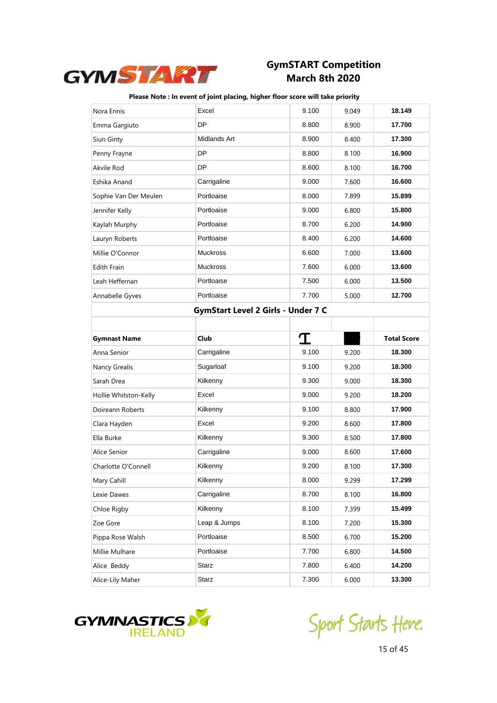

| Nora Ennis            | Excel                              | 9.100 | 9.049 | 18.149             |
|-----------------------|------------------------------------|-------|-------|--------------------|
| Emma Gargiuto         | DP                                 | 8.800 | 8.900 | 17.700             |
| Siun Ginty            | Midlands Art                       | 8.900 | 8.400 | 17.300             |
| Penny Frayne          | DP                                 | 8.800 | 8.100 | 16.900             |
| Akvile Rod            | DP                                 | 8.600 | 8.100 | 16.700             |
| Eshika Anand          | Carrigaline                        | 9.000 | 7.600 | 16.600             |
| Sophie Van Der Meulen | Portloaise                         | 8.000 | 7.899 | 15.899             |
| Jennifer Kelly        | Portloaise                         | 9.000 | 6.800 | 15.800             |
| Kaylah Murphy         | Portloaise                         | 8.700 | 6.200 | 14.900             |
| Lauryn Roberts        | Portloaise                         | 8.400 | 6.200 | 14.600             |
| Millie O'Connor       | <b>Muckross</b>                    | 6.600 | 7.000 | 13.600             |
| <b>Edith Frain</b>    | <b>Muckross</b>                    | 7.600 | 6.000 | 13.600             |
| Leah Heffernan        | Portloaise                         | 7.500 | 6.000 | 13.500             |
| Annabelle Gyves       | Portloaise                         | 7.700 | 5.000 | 12.700             |
|                       | GymStart Level 2 Girls - Under 7 C |       |       |                    |
|                       |                                    |       |       |                    |
| <b>Gymnast Name</b>   | Club                               | T     |       | <b>Total Score</b> |
|                       |                                    |       |       |                    |
| Anna Senior           | Carrigaline                        | 9.100 | 9.200 | 18.300             |
| Nancy Grealis         | Sugarloaf                          | 9.100 | 9.200 | 18.300             |
| Sarah Drea            | Kilkenny                           | 9.300 | 9.000 | 18.300             |
| Hollie Whitston-Kelly | Excel                              | 9.000 | 9.200 | 18.200             |
| Doireann Roberts      | Kilkenny                           | 9.100 | 8.800 | 17.900             |
| Clara Hayden          | Excel                              | 9.200 | 8.600 | 17.800             |
| Ella Burke            | Kilkenny                           | 9.300 | 8.500 | 17.800             |
| Alice Senior          | Carrigaline                        | 9.000 | 8.600 | 17.600             |
| Charlotte O'Connell   | Kilkenny                           | 9.200 | 8.100 | 17.300             |
| Mary Cahill           | Kilkenny                           | 8.000 | 9.299 | 17.299             |
| Lexie Dawes           | Carrigaline                        | 8.700 | 8.100 | 16.800             |
| Chloe Rigby           | Kilkenny                           | 8.100 | 7.399 | 15.499             |
| Zoe Gore              | Leap & Jumps                       | 8.100 | 7.200 | 15.300             |
| Pippa Rose Walsh      | Portloaise                         | 8.500 | 6.700 | 15.200             |
| Millie Mulhare        | Portloaise                         | 7.700 | 6.800 | 14.500             |
| Alice Beddy           | <b>Starz</b>                       | 7.800 | 6.400 | 14.200             |



Sport Starts Heve.

15 of 45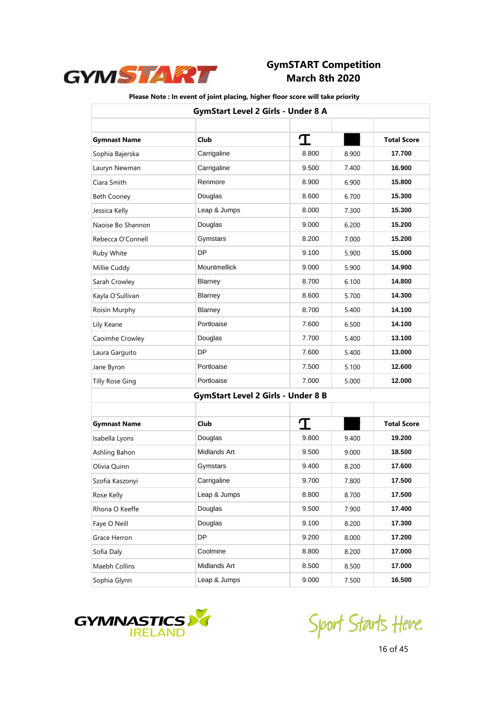

|                        | <b>GymStart Level 2 Girls - Under 8 A</b> |       |       |                    |
|------------------------|-------------------------------------------|-------|-------|--------------------|
| <b>Gymnast Name</b>    | <b>Club</b>                               | I     |       | <b>Total Score</b> |
| Sophia Bajerska        | Carrigaline                               | 8.800 | 8.900 | 17.700             |
| Lauryn Newman          | Carrigaline                               | 9.500 | 7.400 | 16.900             |
| Ciara Smith            | Renmore                                   | 8.900 | 6.900 | 15.800             |
| <b>Beth Cooney</b>     | Douglas                                   | 8.600 | 6.700 | 15.300             |
| Jessica Kelly          | Leap & Jumps                              | 8.000 | 7.300 | 15.300             |
| Naoise Bo Shannon      | Douglas                                   | 9.000 | 6.200 | 15.200             |
| Rebecca O'Connell      | Gymstars                                  | 8.200 | 7.000 | 15.200             |
| Ruby White             | DP                                        | 9.100 | 5.900 | 15.000             |
| Millie Cuddy           | Mountmellick                              | 9.000 | 5.900 | 14.900             |
| Sarah Crowley          | Blarney                                   | 8.700 | 6.100 | 14.800             |
| Kayla O'Sullivan       | Blarney                                   | 8.600 | 5.700 | 14.300             |
| Roisin Murphy          | Blarney                                   | 8.700 | 5.400 | 14.100             |
| Lily Keane             | Portloaise                                | 7.600 | 6.500 | 14.100             |
| Caoimhe Crowley        | Douglas                                   | 7.700 | 5.400 | 13.100             |
| Laura Garguito         | DP                                        | 7.600 | 5.400 | 13.000             |
| Jane Byron             | Portloaise                                | 7.500 | 5.100 | 12.600             |
| <b>Tilly Rose Ging</b> | Portloaise                                | 7.000 | 5.000 | 12.000             |
|                        | <b>GymStart Level 2 Girls - Under 8 B</b> |       |       |                    |
| <b>Gymnast Name</b>    | <b>Club</b>                               | T     |       | <b>Total Score</b> |
| Isabella Lyons         | Douglas                                   | 9.800 | 9.400 | 19.200             |
| Ashling Bahon          | Midlands Art                              | 9.500 | 9.000 | 18.500             |
| Olivia Quinn           | Gymstars                                  | 9.400 | 8.200 | 17.600             |
| Szofia Kaszonyi        | Carrigaline                               | 9.700 | 7.800 | 17.500             |
| Rose Kelly             | Leap & Jumps                              | 8.800 | 8.700 | 17.500             |
| Rhona O Keeffe         | Douglas                                   | 9.500 | 7.900 | 17.400             |
| Faye O Neill           | Douglas                                   | 9.100 | 8.200 | 17.300             |
| Grace Herron           | DP                                        | 9.200 | 8.000 | 17.200             |
| Sofia Daly             | Coolmine                                  | 8.800 | 8.200 | 17.000             |
| Maebh Collins          | Midlands Art                              | 8.500 | 8.500 | 17.000             |
| Sophia Glynn           | Leap & Jumps                              | 9.000 | 7.500 | 16.500             |



Sport Starts Heve.

16 of 45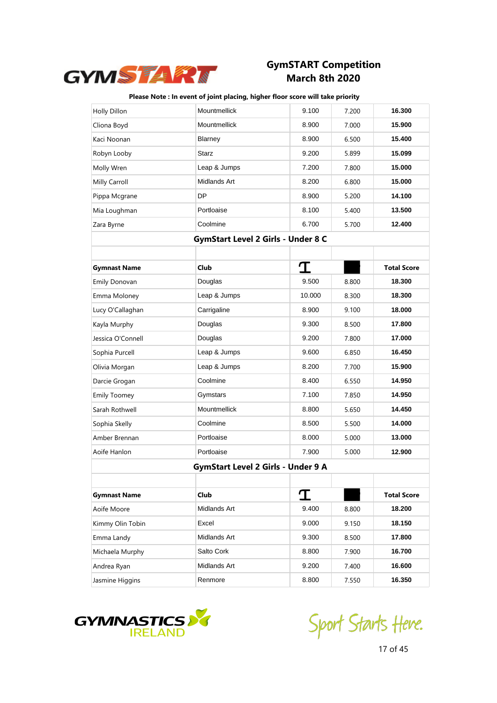

| Holly Dillon        | Mountmellick                       | 9.100  | 7.200 | 16.300             |
|---------------------|------------------------------------|--------|-------|--------------------|
| Cliona Boyd         | Mountmellick                       | 8.900  | 7.000 | 15.900             |
| Kaci Noonan         | Blarney                            | 8.900  | 6.500 | 15.400             |
| Robyn Looby         | <b>Starz</b>                       | 9.200  | 5.899 | 15.099             |
| Molly Wren          | Leap & Jumps                       | 7.200  | 7.800 | 15.000             |
| Milly Carroll       | Midlands Art                       | 8.200  | 6.800 | 15.000             |
| Pippa Mcgrane       | DP                                 | 8.900  | 5.200 | 14.100             |
| Mia Loughman        | Portloaise                         | 8.100  | 5.400 | 13.500             |
| Zara Byrne          | Coolmine                           | 6.700  | 5.700 | 12.400             |
|                     | GymStart Level 2 Girls - Under 8 C |        |       |                    |
|                     |                                    |        |       |                    |
| <b>Gymnast Name</b> | Club                               | I      |       | <b>Total Score</b> |
| Emily Donovan       | Douglas                            | 9.500  | 8.800 | 18.300             |
| Emma Moloney        | Leap & Jumps                       | 10.000 | 8.300 | 18.300             |
| Lucy O'Callaghan    | Carrigaline                        | 8.900  | 9.100 | 18.000             |
| Kayla Murphy        | Douglas                            | 9.300  | 8.500 | 17.800             |
| Jessica O'Connell   | Douglas                            | 9.200  | 7.800 | 17.000             |
| Sophia Purcell      | Leap & Jumps                       | 9.600  | 6.850 | 16.450             |
| Olivia Morgan       | Leap & Jumps                       | 8.200  | 7.700 | 15.900             |
| Darcie Grogan       | Coolmine                           | 8.400  | 6.550 | 14.950             |
| <b>Emily Toomey</b> | Gymstars                           | 7.100  | 7.850 | 14.950             |
| Sarah Rothwell      | Mountmellick                       | 8.800  | 5.650 | 14.450             |
| Sophia Skelly       | Coolmine                           | 8.500  | 5.500 | 14.000             |
| Amber Brennan       | Portloaise                         | 8.000  | 5.000 | 13.000             |
| Aoife Hanlon        | Portloaise                         | 7.900  | 5.000 | 12.900             |
|                     | GymStart Level 2 Girls - Under 9 A |        |       |                    |
|                     |                                    |        |       |                    |
| <b>Gymnast Name</b> | Club                               |        |       | <b>Total Score</b> |
| Aoife Moore         | Midlands Art                       | 9.400  | 8.800 | 18.200             |
| Kimmy Olin Tobin    | Excel                              | 9.000  | 9.150 | 18.150             |
| Emma Landy          | Midlands Art                       | 9.300  | 8.500 | 17.800             |
| Michaela Murphy     | Salto Cork                         | 8.800  | 7.900 | 16.700             |
| Andrea Ryan         | Midlands Art                       | 9.200  | 7.400 | 16.600             |
| Jasmine Higgins     | Renmore                            | 8.800  | 7.550 | 16.350             |



Sport Starts Heve.

17 of 45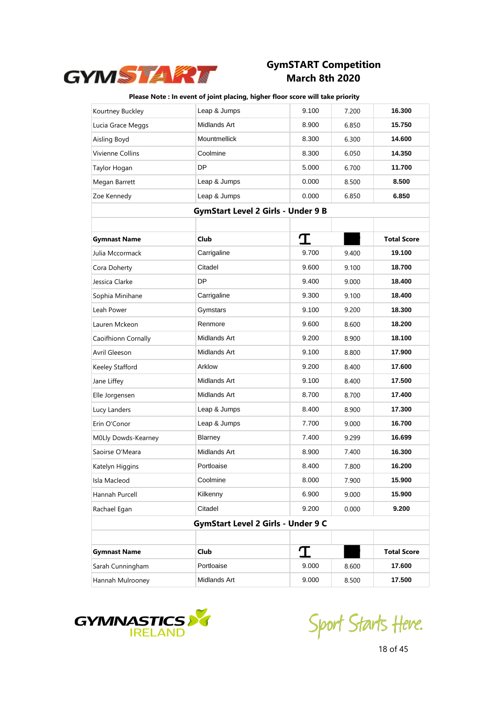

| Kourtney Buckley    | Leap & Jumps                              | 9.100 | 7.200 | 16.300             |
|---------------------|-------------------------------------------|-------|-------|--------------------|
| Lucia Grace Meggs   | Midlands Art                              | 8.900 | 6.850 | 15.750             |
| Aisling Boyd        | Mountmellick                              | 8.300 | 6.300 | 14.600             |
| Vivienne Collins    | Coolmine                                  | 8.300 | 6.050 | 14.350             |
| Taylor Hogan        | DP                                        | 5.000 | 6.700 | 11.700             |
| Megan Barrett       | Leap & Jumps                              | 0.000 | 8.500 | 8.500              |
| Zoe Kennedy         | Leap & Jumps                              | 0.000 | 6.850 | 6.850              |
|                     | <b>GymStart Level 2 Girls - Under 9 B</b> |       |       |                    |
|                     |                                           |       |       |                    |
| <b>Gymnast Name</b> | Club                                      | T     |       | <b>Total Score</b> |
| Julia Mccormack     | Carrigaline                               | 9.700 | 9.400 | 19.100             |
| Cora Doherty        | Citadel                                   | 9.600 | 9.100 | 18.700             |
| Jessica Clarke      | DP                                        | 9.400 | 9.000 | 18.400             |
| Sophia Minihane     | Carrigaline                               | 9.300 | 9.100 | 18.400             |
| Leah Power          | Gymstars                                  | 9.100 | 9.200 | 18.300             |
| Lauren Mckeon       | Renmore                                   | 9.600 | 8.600 | 18.200             |
| Caoifhionn Cornally | Midlands Art                              | 9.200 | 8.900 | 18.100             |
| Avril Gleeson       | Midlands Art                              | 9.100 | 8.800 | 17.900             |
| Keeley Stafford     | Arklow                                    | 9.200 | 8.400 | 17.600             |
| Jane Liffey         | Midlands Art                              | 9.100 | 8.400 | 17.500             |
| Elle Jorgensen      | Midlands Art                              | 8.700 | 8.700 | 17.400             |
| Lucy Landers        | Leap & Jumps                              | 8.400 | 8.900 | 17.300             |
| Erin O'Conor        | Leap & Jumps                              | 7.700 | 9.000 | 16.700             |
| M0Lly Dowds-Kearney | Blarney                                   | 7.400 | 9.299 | 16.699             |
| Saoirse O'Meara     | Midlands Art                              | 8.900 | 7.400 | 16.300             |
| Katelyn Higgins     | Portloaise                                | 8.400 | 7.800 | 16.200             |
| Isla Macleod        | Coolmine                                  | 8.000 | 7.900 | 15.900             |
| Hannah Purcell      | Kilkenny                                  | 6.900 | 9.000 | 15.900             |
| Rachael Egan        | Citadel                                   | 9.200 | 0.000 | 9.200              |
|                     | GymStart Level 2 Girls - Under 9 C        |       |       |                    |
|                     |                                           |       |       |                    |
| <b>Gymnast Name</b> | <b>Club</b>                               | T     |       | <b>Total Score</b> |
| Sarah Cunningham    | Portloaise                                | 9.000 | 8.600 | 17.600             |
| Hannah Mulrooney    | Midlands Art                              | 9.000 | 8.500 | 17.500             |



Sport Starts Heve.

18 of 45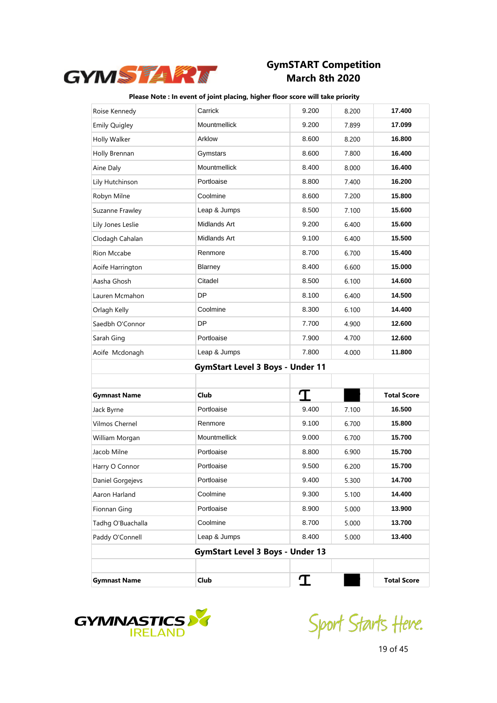

| Roise Kennedy        | Carrick                                 | 9.200 | 8.200 | 17.400             |
|----------------------|-----------------------------------------|-------|-------|--------------------|
| <b>Emily Quigley</b> | Mountmellick                            | 9.200 | 7.899 | 17.099             |
| Holly Walker         | Arklow                                  | 8.600 | 8.200 | 16.800             |
| Holly Brennan        | Gymstars                                | 8.600 | 7.800 | 16.400             |
| Aine Daly            | Mountmellick                            | 8.400 | 8.000 | 16.400             |
| Lily Hutchinson      | Portloaise                              | 8.800 | 7.400 | 16.200             |
| Robyn Milne          | Coolmine                                | 8.600 | 7.200 | 15.800             |
| Suzanne Frawley      | Leap & Jumps                            | 8.500 | 7.100 | 15.600             |
| Lily Jones Leslie    | Midlands Art                            | 9.200 | 6.400 | 15.600             |
| Clodagh Cahalan      | Midlands Art                            | 9.100 | 6.400 | 15.500             |
| Rion Mccabe          | Renmore                                 | 8.700 | 6.700 | 15.400             |
| Aoife Harrington     | Blarney                                 | 8.400 | 6.600 | 15.000             |
| Aasha Ghosh          | Citadel                                 | 8.500 | 6.100 | 14.600             |
| Lauren Mcmahon       | DP                                      | 8.100 | 6.400 | 14.500             |
| Orlagh Kelly         | Coolmine                                | 8.300 | 6.100 | 14.400             |
| Saedbh O'Connor      | DP                                      | 7.700 | 4.900 | 12.600             |
| Sarah Ging           | Portloaise                              | 7.900 | 4.700 | 12.600             |
| Aoife Mcdonagh       | Leap & Jumps                            | 7.800 | 4.000 | 11.800             |
|                      | <b>GymStart Level 3 Boys - Under 11</b> |       |       |                    |
|                      |                                         |       |       |                    |
| <b>Gymnast Name</b>  | Club                                    | I     |       | <b>Total Score</b> |
| Jack Byrne           | Portloaise                              | 9.400 | 7.100 | 16.500             |
| Vilmos Chernel       | Renmore                                 | 9.100 | 6.700 | 15.800             |
| William Morgan       | Mountmellick                            | 9.000 | 6.700 | 15.700             |
| Jacob Milne          | Portloaise                              | 8.800 | 6.900 | 15.700             |
| Harry O Connor       | Portloaise                              | 9.500 | 6.200 | 15.700             |
| Daniel Gorgejevs     | Portloaise                              | 9.400 | 5.300 | 14.700             |
| Aaron Harland        | Coolmine                                | 9.300 | 5.100 | 14.400             |
| Fionnan Ging         | Portloaise                              | 8.900 | 5.000 | 13.900             |
| Tadhg O'Buachalla    | Coolmine                                | 8.700 | 5.000 | 13.700             |
| Paddy O'Connell      | Leap & Jumps                            | 8.400 | 5.000 | 13.400             |
|                      | <b>GymStart Level 3 Boys - Under 13</b> |       |       |                    |
|                      |                                         |       |       |                    |
| <b>Gymnast Name</b>  | Club                                    | I     |       | <b>Total Score</b> |



Sport Starts Heve.

19 of 45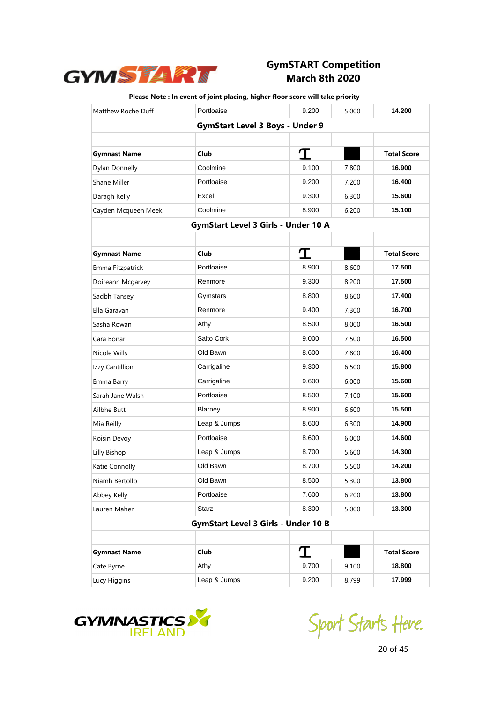

| Matthew Roche Duff  | Portloaise                                 | 9.200 | 5.000 | 14.200             |
|---------------------|--------------------------------------------|-------|-------|--------------------|
|                     | <b>GymStart Level 3 Boys - Under 9</b>     |       |       |                    |
|                     |                                            |       |       |                    |
| <b>Gymnast Name</b> | Club                                       | T     |       | <b>Total Score</b> |
| Dylan Donnelly      | Coolmine                                   | 9.100 | 7.800 | 16.900             |
| Shane Miller        | Portloaise                                 | 9.200 | 7.200 | 16.400             |
| Daragh Kelly        | Excel                                      | 9.300 | 6.300 | 15.600             |
| Cayden Mcqueen Meek | Coolmine                                   | 8.900 | 6.200 | 15.100             |
|                     | <b>GymStart Level 3 Girls - Under 10 A</b> |       |       |                    |
|                     |                                            |       |       |                    |
| <b>Gymnast Name</b> | Club                                       | T     |       | <b>Total Score</b> |
| Emma Fitzpatrick    | Portloaise                                 | 8.900 | 8.600 | 17.500             |
| Doireann Mcgarvey   | Renmore                                    | 9.300 | 8.200 | 17.500             |
| Sadbh Tansey        | Gymstars                                   | 8.800 | 8.600 | 17.400             |
| Ella Garavan        | Renmore                                    | 9.400 | 7.300 | 16.700             |
| Sasha Rowan         | Athy                                       | 8.500 | 8.000 | 16.500             |
| Cara Bonar          | Salto Cork                                 | 9.000 | 7.500 | 16.500             |
| Nicole Wills        | Old Bawn                                   | 8.600 | 7.800 | 16.400             |
| Izzy Cantillion     | Carrigaline                                | 9.300 | 6.500 | 15.800             |
| Emma Barry          | Carrigaline                                | 9.600 | 6.000 | 15.600             |
| Sarah Jane Walsh    | Portloaise                                 | 8.500 | 7.100 | 15.600             |
| Ailbhe Butt         | Blarney                                    | 8.900 | 6.600 | 15.500             |
| Mia Reilly          | Leap & Jumps                               | 8.600 | 6.300 | 14.900             |
| Roisin Devoy        | Portloaise                                 | 8.600 | 6.000 | 14.600             |
| Lilly Bishop        | Leap & Jumps                               | 8.700 | 5.600 | 14.300             |
| Katie Connolly      | Old Bawn                                   | 8.700 | 5.500 | 14.200             |
| Niamh Bertollo      | Old Bawn                                   | 8.500 | 5.300 | 13.800             |
| Abbey Kelly         | Portloaise                                 | 7.600 | 6.200 | 13.800             |
| Lauren Maher        | Starz                                      | 8.300 | 5.000 | 13.300             |
|                     | <b>GymStart Level 3 Girls - Under 10 B</b> |       |       |                    |
|                     |                                            |       |       |                    |
| <b>Gymnast Name</b> | Club                                       | I     |       | <b>Total Score</b> |
| Cate Byrne          | Athy                                       | 9.700 | 9.100 | 18.800             |
| Lucy Higgins        | Leap & Jumps                               | 9.200 | 8.799 | 17.999             |



Sport Starts Heve.

20 of 45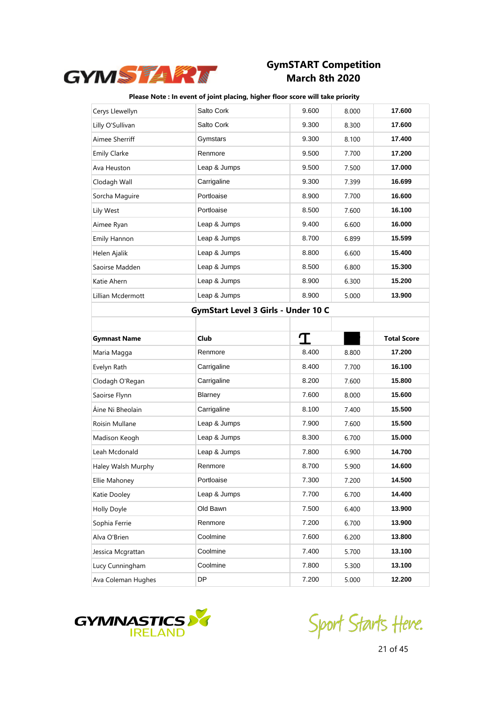

### **Please Note : In event of joint placing, higher floor score will take priority**

| Cerys Llewellyn     | Salto Cork                          | 9.600 | 8.000 | 17.600             |
|---------------------|-------------------------------------|-------|-------|--------------------|
| Lilly O'Sullivan    | Salto Cork                          | 9.300 | 8.300 | 17.600             |
| Aimee Sherriff      | Gymstars                            | 9.300 | 8.100 | 17.400             |
| <b>Emily Clarke</b> | Renmore                             | 9.500 | 7.700 | 17.200             |
| Ava Heuston         | Leap & Jumps                        | 9.500 | 7.500 | 17.000             |
| Clodagh Wall        | Carrigaline                         | 9.300 | 7.399 | 16.699             |
| Sorcha Maguire      | Portloaise                          | 8.900 | 7.700 | 16.600             |
| Lily West           | Portloaise                          | 8.500 | 7.600 | 16.100             |
| Aimee Ryan          | Leap & Jumps                        | 9.400 | 6.600 | 16.000             |
| Emily Hannon        | Leap & Jumps                        | 8.700 | 6.899 | 15.599             |
| Helen Ajalik        | Leap & Jumps                        | 8.800 | 6.600 | 15.400             |
| Saoirse Madden      | Leap & Jumps                        | 8.500 | 6.800 | 15.300             |
| Katie Ahern         | Leap & Jumps                        | 8.900 | 6.300 | 15.200             |
| Lillian Mcdermott   | Leap & Jumps                        | 8.900 | 5.000 | 13.900             |
|                     | GymStart Level 3 Girls - Under 10 C |       |       |                    |
|                     |                                     |       |       |                    |
| <b>Gymnast Name</b> | <b>Club</b>                         | T     |       | <b>Total Score</b> |
|                     |                                     |       |       |                    |
| Maria Magga         | Renmore                             | 8.400 | 8.800 | 17.200             |
| Evelyn Rath         | Carrigaline                         | 8.400 | 7.700 | 16.100             |
| Clodagh O'Regan     | Carrigaline                         | 8.200 | 7.600 | 15.800             |
| Saoirse Flynn       | Blarney                             | 7.600 | 8.000 | 15.600             |
| Áine Ni Bheolain    | Carrigaline                         | 8.100 | 7.400 | 15.500             |
| Roisin Mullane      | Leap & Jumps                        | 7.900 | 7.600 | 15.500             |
| Madison Keogh       | Leap & Jumps                        | 8.300 | 6.700 | 15.000             |
| Leah Mcdonald       | Leap & Jumps                        | 7.800 | 6.900 | 14.700             |
| Haley Walsh Murphy  | Renmore                             | 8.700 | 5.900 | 14.600             |
| Ellie Mahoney       | Portloaise                          | 7.300 | 7.200 | 14.500             |
| Katie Dooley        | Leap & Jumps                        | 7.700 | 6.700 | 14.400             |
| Holly Doyle         | Old Bawn                            | 7.500 | 6.400 | 13.900             |
| Sophia Ferrie       | Renmore                             | 7.200 | 6.700 | 13.900             |
| Alva O'Brien        | Coolmine                            | 7.600 | 6.200 | 13.800             |
| Jessica Mcgrattan   | Coolmine                            | 7.400 | 5.700 | 13.100             |
| Lucy Cunningham     | Coolmine                            | 7.800 | 5.300 | 13.100             |



Sport Starts Heve.

21 of 45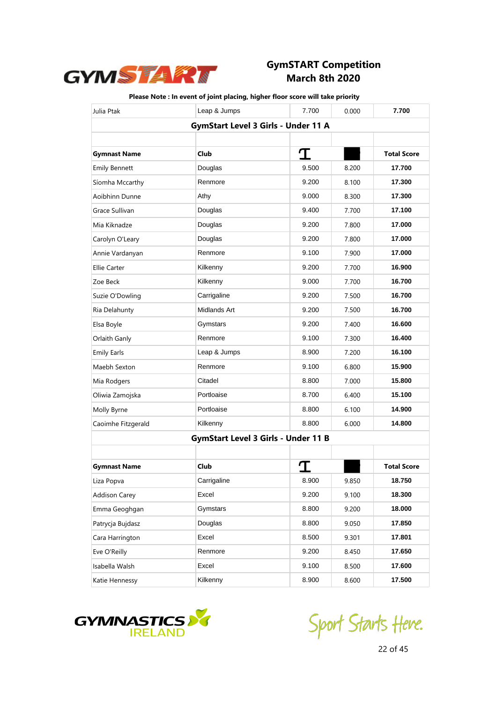

| Julia Ptak           | Leap & Jumps                               | 7.700 | 0.000 | 7.700              |
|----------------------|--------------------------------------------|-------|-------|--------------------|
|                      | GymStart Level 3 Girls - Under 11 A        |       |       |                    |
|                      |                                            |       |       |                    |
| <b>Gymnast Name</b>  | Club                                       | T     |       | <b>Total Score</b> |
| <b>Emily Bennett</b> | Douglas                                    | 9.500 | 8.200 | 17.700             |
| Síomha Mccarthy      | Renmore                                    | 9.200 | 8.100 | 17.300             |
| Aoibhinn Dunne       | Athy                                       | 9.000 | 8.300 | 17.300             |
| Grace Sullivan       | Douglas                                    | 9.400 | 7.700 | 17.100             |
| Mia Kiknadze         | Douglas                                    | 9.200 | 7.800 | 17.000             |
| Carolyn O'Leary      | Douglas                                    | 9.200 | 7.800 | 17.000             |
| Annie Vardanyan      | Renmore                                    | 9.100 | 7.900 | 17.000             |
| <b>Ellie Carter</b>  | Kilkenny                                   | 9.200 | 7.700 | 16.900             |
| Zoe Beck             | Kilkenny                                   | 9.000 | 7.700 | 16.700             |
| Suzie O'Dowling      | Carrigaline                                | 9.200 | 7.500 | 16.700             |
| Ria Delahunty        | Midlands Art                               | 9.200 | 7.500 | 16.700             |
| Elsa Boyle           | Gymstars                                   | 9.200 | 7.400 | 16.600             |
| Orlaith Ganly        | Renmore                                    | 9.100 | 7.300 | 16.400             |
| <b>Emily Earls</b>   | Leap & Jumps                               | 8.900 | 7.200 | 16.100             |
| Maebh Sexton         | Renmore                                    | 9.100 | 6.800 | 15.900             |
| Mia Rodgers          | Citadel                                    | 8.800 | 7.000 | 15.800             |
| Oliwia Zamojska      | Portloaise                                 | 8.700 | 6.400 | 15.100             |
| Molly Byrne          | Portloaise                                 | 8.800 | 6.100 | 14.900             |
| Caoimhe Fitzgerald   | Kilkenny                                   | 8.800 | 6.000 | 14.800             |
|                      | <b>GymStart Level 3 Girls - Under 11 B</b> |       |       |                    |
|                      |                                            |       |       |                    |
| <b>Gymnast Name</b>  | Club                                       |       |       | <b>Total Score</b> |
| Liza Popva           | Carrigaline                                | 8.900 | 9.850 | 18.750             |
| <b>Addison Carey</b> | Excel                                      | 9.200 | 9.100 | 18.300             |
| Emma Geoghgan        | Gymstars                                   | 8.800 | 9.200 | 18.000             |
| Patrycja Bujdasz     | Douglas                                    | 8.800 | 9.050 | 17.850             |
| Cara Harrington      | Excel                                      | 8.500 | 9.301 | 17.801             |
| Eve O'Reilly         | Renmore                                    | 9.200 | 8.450 | 17.650             |
| Isabella Walsh       | Excel                                      | 9.100 | 8.500 | 17.600             |
| Katie Hennessy       | Kilkenny                                   | 8.900 | 8.600 | 17.500             |



Sport Starts Heve.

22 of 45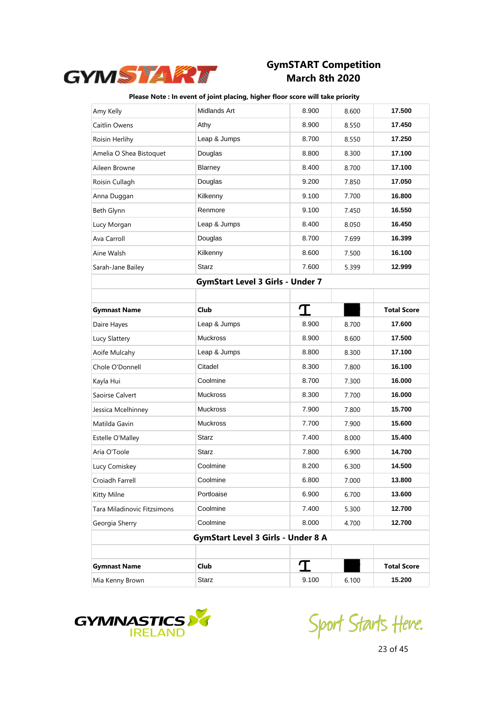

| Amy Kelly                   | Midlands Art                              | 8.900 | 8.600 | 17.500             |
|-----------------------------|-------------------------------------------|-------|-------|--------------------|
| Caitlin Owens               | Athy                                      | 8.900 | 8.550 | 17.450             |
| Roisin Herlihy              | Leap & Jumps                              | 8.700 | 8.550 | 17.250             |
| Amelia O Shea Bistoquet     | Douglas                                   | 8.800 | 8.300 | 17.100             |
| Aileen Browne               | Blarney                                   | 8.400 | 8.700 | 17.100             |
| Roisin Cullagh              | Douglas                                   | 9.200 | 7.850 | 17.050             |
| Anna Duggan                 | Kilkenny                                  | 9.100 | 7.700 | 16.800             |
| Beth Glynn                  | Renmore                                   | 9.100 | 7.450 | 16.550             |
| Lucy Morgan                 | Leap & Jumps                              | 8.400 | 8.050 | 16.450             |
| Ava Carroll                 | Douglas                                   | 8.700 | 7.699 | 16.399             |
| Aine Walsh                  | Kilkenny                                  | 8.600 | 7.500 | 16.100             |
| Sarah-Jane Bailey           | <b>Starz</b>                              | 7.600 | 5.399 | 12.999             |
|                             | <b>GymStart Level 3 Girls - Under 7</b>   |       |       |                    |
|                             |                                           |       |       |                    |
| <b>Gymnast Name</b>         | Club                                      | T     |       | <b>Total Score</b> |
| Daire Hayes                 | Leap & Jumps                              | 8.900 | 8.700 | 17.600             |
| Lucy Slattery               | <b>Muckross</b>                           | 8.900 | 8.600 | 17.500             |
| Aoife Mulcahy               | Leap & Jumps                              | 8.800 | 8.300 | 17.100             |
| Chole O'Donnell             | Citadel                                   | 8.300 | 7.800 | 16.100             |
| Kayla Hui                   | Coolmine                                  | 8.700 | 7.300 | 16.000             |
| Saoirse Calvert             | <b>Muckross</b>                           | 8.300 | 7.700 | 16.000             |
| Jessica Mcelhinney          | <b>Muckross</b>                           | 7.900 | 7.800 | 15.700             |
| Matilda Gavin               | <b>Muckross</b>                           | 7.700 | 7.900 | 15.600             |
| Estelle O'Malley            | <b>Starz</b>                              | 7.400 | 8.000 | 15.400             |
| Aria O'Toole                | Starz                                     | 7.800 | 6.900 | 14.700             |
| Lucy Comiskey               | Coolmine                                  | 8.200 | 6.300 | 14.500             |
| Croiadh Farrell             | Coolmine                                  | 6.800 | 7.000 | 13.800             |
| Kitty Milne                 | Portloaise                                | 6.900 | 6.700 | 13.600             |
| Tara Miladinovic Fitzsimons | Coolmine                                  | 7.400 | 5.300 | 12.700             |
| Georgia Sherry              | Coolmine                                  | 8.000 | 4.700 | 12.700             |
|                             | <b>GymStart Level 3 Girls - Under 8 A</b> |       |       |                    |
|                             |                                           |       |       |                    |
| <b>Gymnast Name</b>         | Club                                      | T     |       | <b>Total Score</b> |
| Mia Kenny Brown             | Starz                                     | 9.100 | 6.100 | 15.200             |



Sport Starts Heve.

23 of 45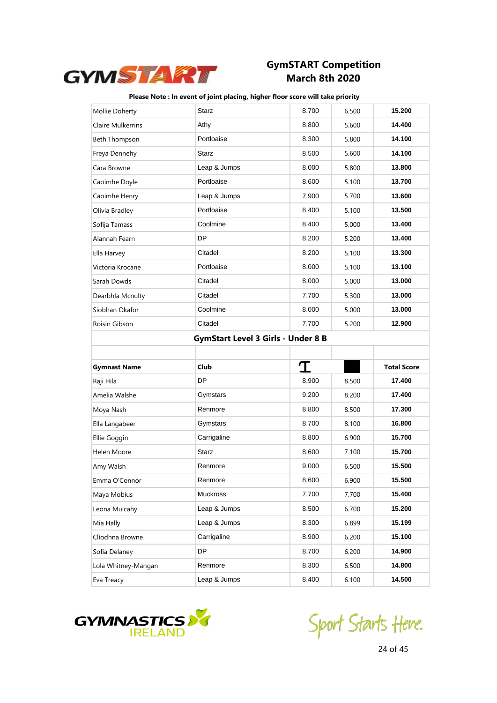

| Mollie Doherty           | <b>Starz</b>                              | 8.700 | 6.500 | 15.200             |
|--------------------------|-------------------------------------------|-------|-------|--------------------|
| <b>Claire Mulkerrins</b> | Athy                                      | 8.800 | 5.600 | 14.400             |
| Beth Thompson            | Portloaise                                | 8.300 | 5.800 | 14.100             |
| Freya Dennehy            | <b>Starz</b>                              | 8.500 | 5.600 | 14.100             |
| Cara Browne              | Leap & Jumps                              | 8.000 | 5.800 | 13.800             |
| Caoimhe Doyle            | Portloaise                                | 8.600 | 5.100 | 13.700             |
| Caoimhe Henry            | Leap & Jumps                              | 7.900 | 5.700 | 13.600             |
| Olivia Bradley           | Portloaise                                | 8.400 | 5.100 | 13.500             |
| Sofija Tamass            | Coolmine                                  | 8.400 | 5.000 | 13.400             |
| Alannah Fearn            | DP                                        | 8.200 | 5.200 | 13.400             |
| Ella Harvey              | Citadel                                   | 8.200 | 5.100 | 13.300             |
| Victoria Krocane         | Portloaise                                | 8.000 | 5.100 | 13.100             |
| Sarah Dowds              | Citadel                                   | 8.000 | 5.000 | 13.000             |
| Dearbhla Mcnulty         | Citadel                                   | 7.700 | 5.300 | 13.000             |
| Siobhan Okafor           | Coolmine                                  | 8.000 | 5.000 | 13.000             |
| Roisin Gibson            | Citadel                                   | 7.700 | 5.200 | 12.900             |
|                          | <b>GymStart Level 3 Girls - Under 8 B</b> |       |       |                    |
|                          |                                           |       |       |                    |
|                          |                                           |       |       |                    |
| <b>Gymnast Name</b>      | Club                                      | I     |       | <b>Total Score</b> |
| Raji Hila                | <b>DP</b>                                 | 8.900 | 8.500 | 17.400             |
| Amelia Walshe            | Gymstars                                  | 9.200 | 8.200 | 17.400             |
| Moya Nash                | Renmore                                   | 8.800 | 8.500 | 17.300             |
| Ella Langabeer           | Gymstars                                  | 8.700 | 8.100 | 16.800             |
| Ellie Goggin             | Carrigaline                               | 8.800 | 6.900 | 15.700             |
| Helen Moore              | <b>Starz</b>                              | 8.600 | 7.100 | 15.700             |
| Amy Walsh                | Renmore                                   | 9.000 | 6.500 | 15.500             |
| Emma O'Connor            | Renmore                                   | 8.600 | 6.900 | 15.500             |
| Maya Mobius              | Muckross                                  | 7.700 | 7.700 | 15.400             |
| Leona Mulcahy            | Leap & Jumps                              | 8.500 | 6.700 | 15.200             |
| Mia Hally                | Leap & Jumps                              | 8.300 | 6.899 | 15.199             |
| Clìodhna Browne          | Carrigaline                               | 8.900 | 6.200 | 15.100             |
| Sofia Delaney            | DP                                        | 8.700 | 6.200 | 14.900             |
| Lola Whitney-Mangan      | Renmore                                   | 8.300 | 6.500 | 14.800             |



Sport Starts Heve.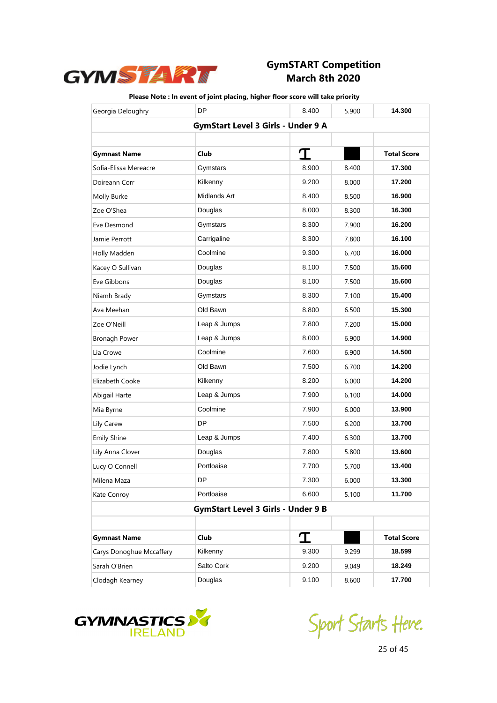

| Georgia Deloughry        | <b>DP</b>                                 | 8.400 | 5.900 | 14.300             |
|--------------------------|-------------------------------------------|-------|-------|--------------------|
|                          | <b>GymStart Level 3 Girls - Under 9 A</b> |       |       |                    |
|                          |                                           |       |       |                    |
| <b>Gymnast Name</b>      | <b>Club</b>                               | I     |       | <b>Total Score</b> |
| Sofia-Elissa Mereacre    | Gymstars                                  | 8.900 | 8.400 | 17.300             |
| Doireann Corr            | Kilkenny                                  | 9.200 | 8.000 | 17.200             |
| Molly Burke              | Midlands Art                              | 8.400 | 8.500 | 16.900             |
| Zoe O'Shea               | Douglas                                   | 8.000 | 8.300 | 16.300             |
| Eve Desmond              | Gymstars                                  | 8.300 | 7.900 | 16.200             |
| Jamie Perrott            | Carrigaline                               | 8.300 | 7.800 | 16.100             |
| Holly Madden             | Coolmine                                  | 9.300 | 6.700 | 16.000             |
| Kacey O Sullivan         | Douglas                                   | 8.100 | 7.500 | 15.600             |
| Eve Gibbons              | Douglas                                   | 8.100 | 7.500 | 15.600             |
| Niamh Brady              | Gymstars                                  | 8.300 | 7.100 | 15.400             |
| Ava Meehan               | Old Bawn                                  | 8.800 | 6.500 | 15.300             |
| Zoe O'Neill              | Leap & Jumps                              | 7.800 | 7.200 | 15.000             |
| <b>Bronagh Power</b>     | Leap & Jumps                              | 8.000 | 6.900 | 14.900             |
| Lia Crowe                | Coolmine                                  | 7.600 | 6.900 | 14.500             |
| Jodie Lynch              | Old Bawn                                  | 7.500 | 6.700 | 14.200             |
| Elizabeth Cooke          | Kilkenny                                  | 8.200 | 6.000 | 14.200             |
| Abigail Harte            | Leap & Jumps                              | 7.900 | 6.100 | 14.000             |
| Mia Byrne                | Coolmine                                  | 7.900 | 6.000 | 13.900             |
| Lily Carew               | DP                                        | 7.500 | 6.200 | 13.700             |
| <b>Emily Shine</b>       | Leap & Jumps                              | 7.400 | 6.300 | 13.700             |
| Lily Anna Clover         | Douglas                                   | 7.800 | 5.800 | 13.600             |
| Lucy O Connell           | Portloaise                                | 7.700 | 5.700 | 13.400             |
| Milena Maza              | DP.                                       | 7.300 | 6.000 | 13.300             |
| Kate Conroy              | Portloaise                                | 6.600 | 5.100 | 11.700             |
|                          | <b>GymStart Level 3 Girls - Under 9 B</b> |       |       |                    |
|                          |                                           |       |       |                    |
| <b>Gymnast Name</b>      | <b>Club</b>                               | T     |       | <b>Total Score</b> |
| Carys Donoghue Mccaffery | Kilkenny                                  | 9.300 | 9.299 | 18.599             |
| Sarah O'Brien            | Salto Cork                                | 9.200 | 9.049 | 18.249             |
| Clodagh Kearney          | Douglas                                   | 9.100 | 8.600 | 17.700             |



Sport Starts Heve.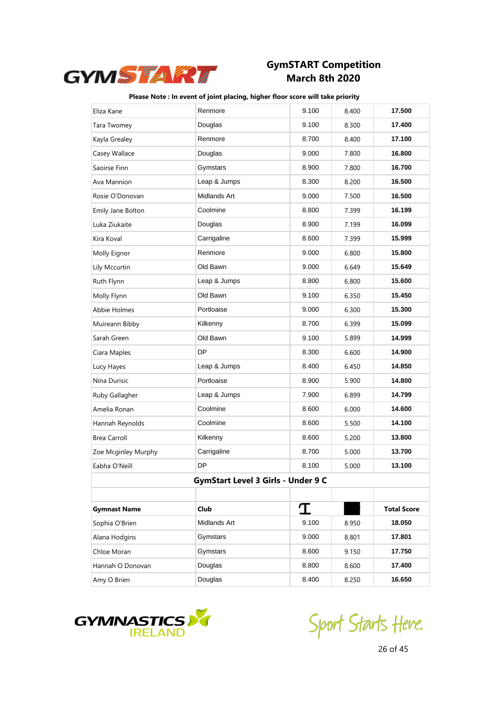

| Eliza Kane          | Renmore                            | 9.100 | 8.400 | 17.500             |
|---------------------|------------------------------------|-------|-------|--------------------|
| Tara Twomey         | Douglas                            | 9.100 | 8.300 | 17.400             |
| Kayla Grealey       | Renmore                            | 8.700 | 8.400 | 17.100             |
| Casey Wallace       | Douglas                            | 9.000 | 7.800 | 16.800             |
| Saoirse Finn        | Gymstars                           | 8.900 | 7.800 | 16.700             |
| Ava Mannion         | Leap & Jumps                       | 8.300 | 8.200 | 16.500             |
| Rosie O'Donovan     | Midlands Art                       | 9.000 | 7.500 | 16.500             |
| Emily Jane Bolton   | Coolmine                           | 8.800 | 7.399 | 16.199             |
| Luka Ziukaite       | Douglas                            | 8.900 | 7.199 | 16.099             |
| Kira Koval          | Carrigaline                        | 8.600 | 7.399 | 15.999             |
| Molly Eignor        | Renmore                            | 9.000 | 6.800 | 15.800             |
| Lily Mccurtin       | Old Bawn                           | 9.000 | 6.649 | 15.649             |
| Ruth Flynn          | Leap & Jumps                       | 8.800 | 6.800 | 15.600             |
| Molly Flynn         | Old Bawn                           | 9.100 | 6.350 | 15.450             |
| Abbie Holmes        | Portloaise                         | 9.000 | 6.300 | 15.300             |
| Muireann Bibby      | Kilkenny                           | 8.700 | 6.399 | 15.099             |
| Sarah Green         | Old Bawn                           | 9.100 | 5.899 | 14.999             |
| Ciara Maples        | <b>DP</b>                          | 8.300 | 6.600 | 14.900             |
| Lucy Hayes          | Leap & Jumps                       | 8.400 | 6.450 | 14.850             |
| Nina Durisic        | Portloaise                         | 8.900 | 5.900 | 14.800             |
| Ruby Gallagher      | Leap & Jumps                       | 7.900 | 6.899 | 14.799             |
| Amelia Ronan        | Coolmine                           | 8.600 | 6.000 | 14.600             |
| Hannah Reynolds     | Coolmine                           | 8.600 | 5.500 | 14.100             |
| <b>Brea Carroll</b> | Kilkenny                           | 8.600 | 5.200 | 13.800             |
| Zoe Mcginley Murphy | Carrigaline                        | 8.700 | 5.000 | 13.700             |
| Eabha O'Neill       | <b>DP</b>                          | 8.100 | 5.000 | 13.100             |
|                     | GymStart Level 3 Girls - Under 9 C |       |       |                    |
|                     |                                    |       |       |                    |
| <b>Gymnast Name</b> | <b>Club</b>                        | T     |       | <b>Total Score</b> |
| Sophia O'Brien      | Midlands Art                       | 9.100 | 8.950 | 18.050             |
| Alana Hodgins       | Gymstars                           | 9.000 | 8.801 | 17.801             |
| Chloe Moran         | Gymstars                           | 8.600 | 9.150 | 17.750             |
| Hannah O Donovan    | Douglas                            | 8.800 | 8.600 | 17.400             |
| Amy O Brien         | Douglas                            | 8.400 | 8.250 | 16.650             |



Sport Starts Heve.

26 of 45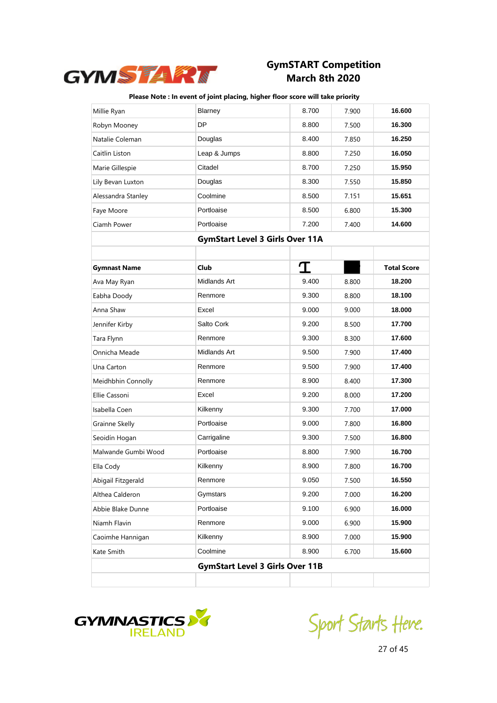

| Millie Ryan                            | Blarney                                | 8.700 | 7.900 | 16.600             |
|----------------------------------------|----------------------------------------|-------|-------|--------------------|
| Robyn Mooney                           | DP                                     | 8.800 | 7.500 | 16.300             |
| Natalie Coleman                        | Douglas                                | 8.400 | 7.850 | 16.250             |
| Caitlin Liston                         | Leap & Jumps                           | 8.800 | 7.250 | 16.050             |
| Marie Gillespie                        | Citadel                                | 8.700 | 7.250 | 15.950             |
| Lily Bevan Luxton                      | Douglas                                | 8.300 | 7.550 | 15.850             |
| Alessandra Stanley                     | Coolmine                               | 8.500 | 7.151 | 15.651             |
| Faye Moore                             | Portloaise                             | 8.500 | 6.800 | 15.300             |
| Ciamh Power                            | Portloaise                             | 7.200 | 7.400 | 14.600             |
| <b>GymStart Level 3 Girls Over 11A</b> |                                        |       |       |                    |
|                                        |                                        |       |       |                    |
| <b>Gymnast Name</b>                    | Club                                   | T     |       | <b>Total Score</b> |
| Ava May Ryan                           | Midlands Art                           | 9.400 | 8.800 | 18.200             |
| Eabha Doody                            | Renmore                                | 9.300 | 8.800 | 18.100             |
| Anna Shaw                              | Excel                                  | 9.000 | 9.000 | 18.000             |
| Jennifer Kirby                         | Salto Cork                             | 9.200 | 8.500 | 17.700             |
| Tara Flynn                             | Renmore                                | 9.300 | 8.300 | 17.600             |
| Onnicha Meade                          | Midlands Art                           | 9.500 | 7.900 | 17.400             |
| Una Carton                             | Renmore                                | 9.500 | 7.900 | 17.400             |
| Meidhbhin Connolly                     | Renmore                                | 8.900 | 8.400 | 17.300             |
| Ellie Cassoni                          | Excel                                  | 9.200 | 8.000 | 17.200             |
| Isabella Coen                          | Kilkenny                               | 9.300 | 7.700 | 17.000             |
| Grainne Skelly                         | Portloaise                             | 9.000 | 7.800 | 16.800             |
| Seoidín Hogan                          | Carrigaline                            | 9.300 | 7.500 | 16.800             |
| Malwande Gumbi Wood                    | Portloaise                             | 8.800 | 7.900 | 16.700             |
| Ella Cody                              | Kilkenny                               | 8.900 | 7.800 | 16.700             |
| Abigail Fitzgerald                     | Renmore                                | 9.050 | 7.500 | 16.550             |
| Althea Calderon                        | Gymstars                               | 9.200 | 7.000 | 16.200             |
| Abbie Blake Dunne                      | Portloaise                             | 9.100 | 6.900 | 16.000             |
| Niamh Flavin                           | Renmore                                | 9.000 | 6.900 | 15.900             |
| Caoimhe Hannigan                       | Kilkenny                               | 8.900 | 7.000 | 15.900             |
| Kate Smith                             | Coolmine                               | 8.900 | 6.700 | 15.600             |
|                                        | <b>GymStart Level 3 Girls Over 11B</b> |       |       |                    |
|                                        |                                        |       |       |                    |



Sport Starts Heve.

27 of 45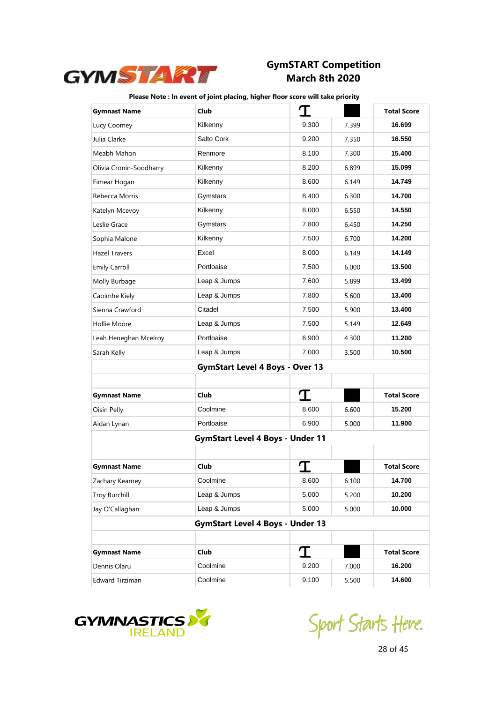

| <b>Gymnast Name</b>     | Club                                    | T     |       | <b>Total Score</b> |
|-------------------------|-----------------------------------------|-------|-------|--------------------|
| Lucy Coomey             | Kilkenny                                | 9.300 | 7.399 | 16.699             |
| Julia Clarke            | Salto Cork                              | 9.200 | 7.350 | 16.550             |
| Meabh Mahon             | Renmore                                 | 8.100 | 7.300 | 15.400             |
| Olivia Cronin-Soodharry | Kilkenny                                | 8.200 | 6.899 | 15.099             |
| Eimear Hogan            | Kilkenny                                | 8.600 | 6.149 | 14.749             |
| Rebecca Morris          | Gymstars                                | 8.400 | 6.300 | 14.700             |
| Katelyn Mcevoy          | Kilkenny                                | 8.000 | 6.550 | 14.550             |
| Leslie Grace            | Gymstars                                | 7.800 | 6.450 | 14.250             |
| Sophia Malone           | Kilkenny                                | 7.500 | 6.700 | 14.200             |
| Hazel Travers           | Excel                                   | 8.000 | 6.149 | 14.149             |
| <b>Emily Carroll</b>    | Portloaise                              | 7.500 | 6.000 | 13.500             |
| Molly Burbage           | Leap & Jumps                            | 7.600 | 5.899 | 13.499             |
| Caoimhe Kiely           | Leap & Jumps                            | 7.800 | 5.600 | 13.400             |
| Sienna Crawford         | Citadel                                 | 7.500 | 5.900 | 13.400             |
| Hollie Moore            | Leap & Jumps                            | 7.500 | 5.149 | 12.649             |
| Leah Heneghan Mcelroy   | Portloaise                              | 6.900 | 4.300 | 11.200             |
| Sarah Kelly             | Leap & Jumps                            | 7.000 | 3.500 | 10.500             |
|                         | <b>GymStart Level 4 Boys - Over 13</b>  |       |       |                    |
|                         |                                         |       |       |                    |
| <b>Gymnast Name</b>     | Club                                    | T     |       | <b>Total Score</b> |
| Oisin Pelly             | Coolmine                                | 8.600 | 6.600 | 15.200             |
| Aidan Lynan             | Portloaise                              | 6.900 | 5.000 | 11.900             |
|                         | <b>GymStart Level 4 Boys - Under 11</b> |       |       |                    |
|                         |                                         |       |       |                    |
| <b>Gymnast Name</b>     | Club                                    |       |       | <b>Total Score</b> |
| Zachary Kearney         | Coolmine                                | 8.600 | 6.100 | 14.700             |
| <b>Troy Burchill</b>    | Leap & Jumps                            | 5.000 | 5.200 | 10.200             |
| Jay O'Callaghan         | Leap & Jumps                            | 5.000 | 5.000 | 10.000             |
|                         | <b>GymStart Level 4 Boys - Under 13</b> |       |       |                    |
|                         |                                         |       |       |                    |
| <b>Gymnast Name</b>     | <b>Club</b>                             | I     |       | <b>Total Score</b> |
| Dennis Olaru            | Coolmine                                | 9.200 | 7.000 | 16.200             |
| Edward Tirziman         | Coolmine                                | 9.100 | 5.500 | 14.600             |



Sport Starts Heve.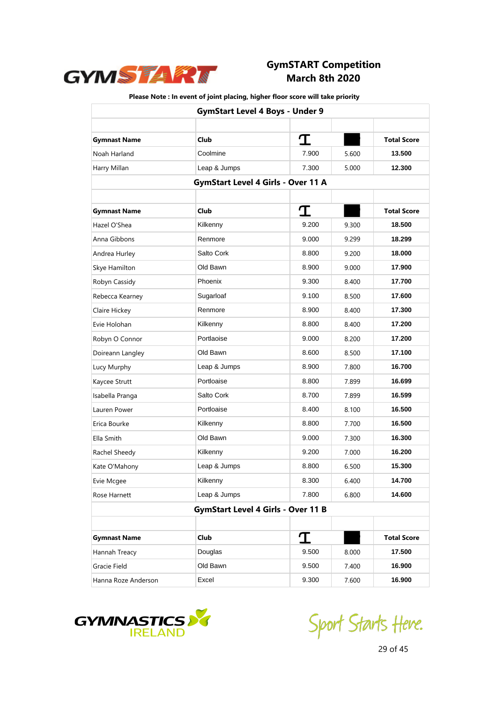

| <b>GymStart Level 4 Boys - Under 9</b> |                                           |       |       |                    |
|----------------------------------------|-------------------------------------------|-------|-------|--------------------|
|                                        |                                           |       |       |                    |
| <b>Gymnast Name</b>                    | <b>Club</b>                               | I     |       | <b>Total Score</b> |
| Noah Harland                           | Coolmine                                  | 7.900 | 5.600 | 13.500             |
| Harry Millan                           | Leap & Jumps                              | 7.300 | 5.000 | 12.300             |
|                                        | <b>GymStart Level 4 Girls - Over 11 A</b> |       |       |                    |
|                                        |                                           |       |       |                    |
| <b>Gymnast Name</b>                    | <b>Club</b>                               | T     |       | <b>Total Score</b> |
| Hazel O'Shea                           | Kilkenny                                  | 9.200 | 9.300 | 18.500             |
| Anna Gibbons                           | Renmore                                   | 9.000 | 9.299 | 18.299             |
| Andrea Hurley                          | Salto Cork                                | 8.800 | 9.200 | 18.000             |
| Skye Hamilton                          | Old Bawn                                  | 8.900 | 9.000 | 17.900             |
| Robyn Cassidy                          | Phoenix                                   | 9.300 | 8.400 | 17.700             |
| Rebecca Kearney                        | Sugarloaf                                 | 9.100 | 8.500 | 17.600             |
| Claire Hickey                          | Renmore                                   | 8.900 | 8.400 | 17.300             |
| Evie Holohan                           | Kilkenny                                  | 8.800 | 8.400 | 17.200             |
| Robyn O Connor                         | Portlaoise                                | 9.000 | 8.200 | 17.200             |
| Doireann Langley                       | Old Bawn                                  | 8.600 | 8.500 | 17.100             |
| Lucy Murphy                            | Leap & Jumps                              | 8.900 | 7.800 | 16.700             |
| Kaycee Strutt                          | Portloaise                                | 8.800 | 7.899 | 16.699             |
| Isabella Pranga                        | Salto Cork                                | 8.700 | 7.899 | 16.599             |
| Lauren Power                           | Portloaise                                | 8.400 | 8.100 | 16.500             |
| Erica Bourke                           | Kilkenny                                  | 8.800 | 7.700 | 16.500             |
| Ella Smith                             | Old Bawn                                  | 9.000 | 7.300 | 16.300             |
| Rachel Sheedy                          | Kilkenny                                  | 9.200 | 7.000 | 16.200             |
| Kate O'Mahony                          | Leap & Jumps                              | 8.800 | 6.500 | 15.300             |
| Evie Mcgee                             | Kilkenny                                  | 8.300 | 6.400 | 14.700             |
| Rose Harnett                           | Leap & Jumps                              | 7.800 | 6.800 | 14.600             |
|                                        | <b>GymStart Level 4 Girls - Over 11 B</b> |       |       |                    |
|                                        |                                           |       |       |                    |
| <b>Gymnast Name</b>                    | Club                                      | I     |       | <b>Total Score</b> |
| Hannah Treacy                          | Douglas                                   | 9.500 | 8.000 | 17.500             |
| Gracie Field                           | Old Bawn                                  | 9.500 | 7.400 | 16.900             |
| Hanna Roze Anderson                    | Excel                                     | 9.300 | 7.600 | 16.900             |



Sport Starts Heve.

29 of 45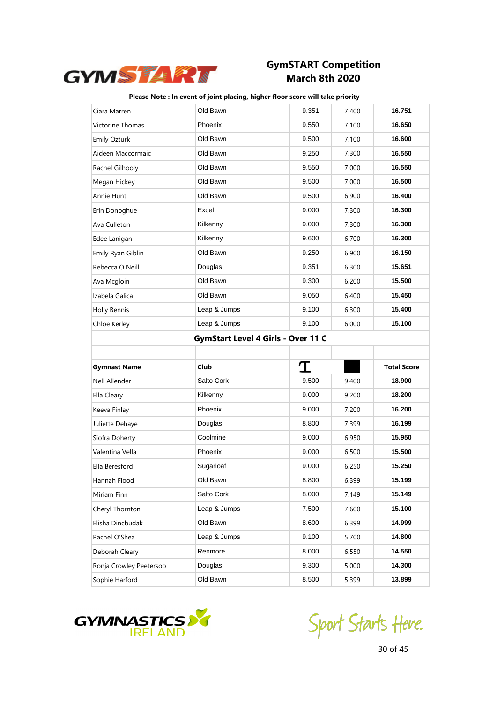

#### **Please Note : In event of joint placing, higher floor score will take priority**

| Ciara Marren            | Old Bawn                           | 9.351 | 7.400 | 16.751             |  |
|-------------------------|------------------------------------|-------|-------|--------------------|--|
| Victorine Thomas        | Phoenix                            | 9.550 | 7.100 | 16.650             |  |
| <b>Emily Ozturk</b>     | Old Bawn                           | 9.500 | 7.100 | 16.600             |  |
| Aideen Maccormaic       | Old Bawn                           | 9.250 | 7.300 | 16.550             |  |
| Rachel Gilhooly         | Old Bawn                           | 9.550 | 7.000 | 16.550             |  |
| Megan Hickey            | Old Bawn                           | 9.500 | 7.000 | 16.500             |  |
| Annie Hunt              | Old Bawn                           | 9.500 | 6.900 | 16.400             |  |
| Erin Donoghue           | Excel                              | 9.000 | 7.300 | 16.300             |  |
| Ava Culleton            | Kilkenny                           | 9.000 | 7.300 | 16.300             |  |
| Edee Lanigan            | Kilkenny                           | 9.600 | 6.700 | 16.300             |  |
| Emily Ryan Giblin       | Old Bawn                           | 9.250 | 6.900 | 16.150             |  |
| Rebecca O Neill         | Douglas                            | 9.351 | 6.300 | 15.651             |  |
| Ava Mcgloin             | Old Bawn                           | 9.300 | 6.200 | 15.500             |  |
| Izabela Galica          | Old Bawn                           | 9.050 | 6.400 | 15.450             |  |
| <b>Holly Bennis</b>     | Leap & Jumps                       | 9.100 | 6.300 | 15.400             |  |
| Chloe Kerley            | Leap & Jumps                       | 9.100 | 6.000 | 15.100             |  |
|                         | GymStart Level 4 Girls - Over 11 C |       |       |                    |  |
|                         |                                    |       |       |                    |  |
|                         |                                    |       |       |                    |  |
| <b>Gymnast Name</b>     | Club                               | I     |       | <b>Total Score</b> |  |
| Nell Allender           | Salto Cork                         | 9.500 | 9.400 | 18.900             |  |
| Ella Cleary             | Kilkenny                           | 9.000 | 9.200 | 18.200             |  |
| Keeva Finlay            | Phoenix                            | 9.000 | 7.200 | 16.200             |  |
| Juliette Dehaye         | Douglas                            | 8.800 | 7.399 | 16.199             |  |
| Siofra Doherty          | Coolmine                           | 9.000 | 6.950 | 15.950             |  |
| Valentina Vella         | Phoenix                            | 9.000 | 6.500 | 15.500             |  |
| Ella Beresford          | Sugarloaf                          | 9.000 | 6.250 | 15.250             |  |
| Hannah Flood            | Old Bawn                           | 8.800 | 6.399 | 15.199             |  |
| Miriam Finn             | Salto Cork                         | 8.000 | 7.149 | 15.149             |  |
| Cheryl Thornton         | Leap & Jumps                       | 7.500 | 7.600 | 15.100             |  |
| Elisha Dincbudak        | Old Bawn                           | 8.600 | 6.399 | 14.999             |  |
| Rachel O'Shea           | Leap & Jumps                       | 9.100 | 5.700 | 14.800             |  |
| Deborah Cleary          | Renmore                            | 8.000 | 6.550 | 14.550             |  |
| Ronja Crowley Peetersoo | Douglas                            | 9.300 | 5.000 | 14.300             |  |



Sport Starts Heve.

30 of 45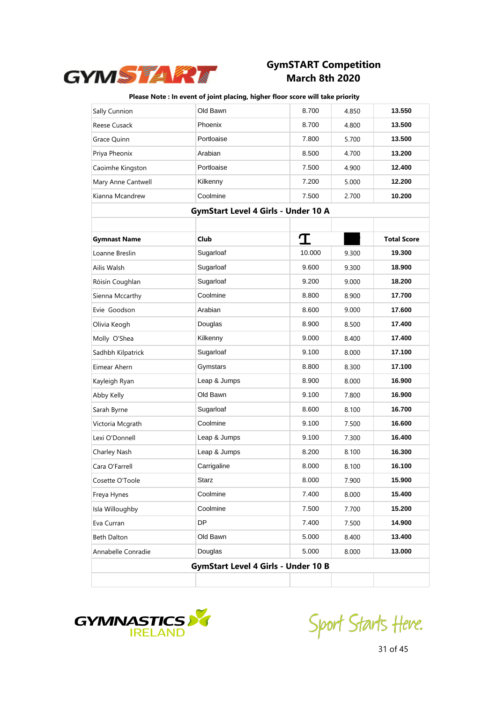

| Sally Cunnion       | Old Bawn                                   | 8.700  | 4.850 | 13.550             |
|---------------------|--------------------------------------------|--------|-------|--------------------|
| Reese Cusack        | Phoenix                                    | 8.700  | 4.800 | 13.500             |
| Grace Quinn         | Portloaise                                 | 7.800  | 5.700 | 13.500             |
| Priya Pheonix       | Arabian                                    | 8.500  | 4.700 | 13.200             |
| Caoimhe Kingston    | Portloaise                                 | 7.500  | 4.900 | 12.400             |
| Mary Anne Cantwell  | Kilkenny                                   | 7.200  | 5.000 | 12.200             |
| Kianna Mcandrew     | Coolmine                                   | 7.500  | 2.700 | 10.200             |
|                     | <b>GymStart Level 4 Girls - Under 10 A</b> |        |       |                    |
|                     |                                            |        |       |                    |
| <b>Gymnast Name</b> | Club                                       | T      |       | <b>Total Score</b> |
| Loanne Breslin      | Sugarloaf                                  | 10.000 | 9.300 | 19.300             |
| Ailis Walsh         | Sugarloaf                                  | 9.600  | 9.300 | 18.900             |
| Róisín Coughlan     | Sugarloaf                                  | 9.200  | 9.000 | 18.200             |
| Sienna Mccarthy     | Coolmine                                   | 8.800  | 8.900 | 17.700             |
| Evie Goodson        | Arabian                                    | 8.600  | 9.000 | 17.600             |
| Olivia Keogh        | Douglas                                    | 8.900  | 8.500 | 17.400             |
| Molly O'Shea        | Kilkenny                                   | 9.000  | 8.400 | 17.400             |
| Sadhbh Kilpatrick   | Sugarloaf                                  | 9.100  | 8.000 | 17.100             |
| Eimear Ahern        | Gymstars                                   | 8.800  | 8.300 | 17.100             |
| Kayleigh Ryan       | Leap & Jumps                               | 8.900  | 8.000 | 16.900             |
| Abby Kelly          | Old Bawn                                   | 9.100  | 7.800 | 16.900             |
| Sarah Byrne         | Sugarloaf                                  | 8.600  | 8.100 | 16.700             |
| Victoria Mcgrath    | Coolmine                                   | 9.100  | 7.500 | 16.600             |
| Lexi O'Donnell      | Leap & Jumps                               | 9.100  | 7.300 | 16.400             |
| Charley Nash        | Leap & Jumps                               | 8.200  | 8.100 | 16.300             |
| Cara O'Farrell      | Carrigaline                                | 8.000  | 8.100 | 16.100             |
| Cosette O'Toole     | Starz                                      | 8.000  | 7.900 | 15.900             |
| Freya Hynes         | Coolmine                                   | 7.400  | 8.000 | 15.400             |
| Isla Willoughby     | Coolmine                                   | 7.500  | 7.700 | 15.200             |
| Eva Curran          | DP                                         | 7.400  | 7.500 | 14.900             |
| <b>Beth Dalton</b>  | Old Bawn                                   | 5.000  | 8.400 | 13.400             |
| Annabelle Conradie  | Douglas                                    | 5.000  | 8.000 | 13.000             |
|                     | <b>GymStart Level 4 Girls - Under 10 B</b> |        |       |                    |
|                     |                                            |        |       |                    |



Sport Starts Heve.

31 of 45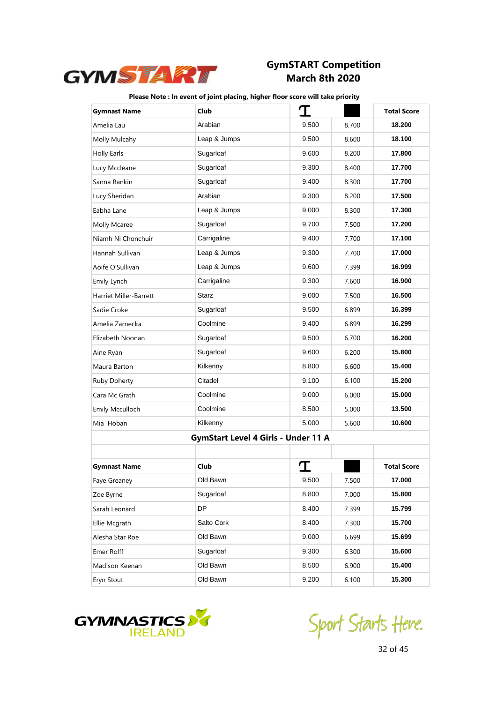

| <b>Gymnast Name</b>    | Club                                       | I     |       | <b>Total Score</b> |
|------------------------|--------------------------------------------|-------|-------|--------------------|
| Amelia Lau             | Arabian                                    | 9.500 | 8.700 | 18.200             |
| Molly Mulcahy          | Leap & Jumps                               | 9.500 | 8.600 | 18.100             |
| <b>Holly Earls</b>     | Sugarloaf                                  | 9.600 | 8.200 | 17.800             |
| Lucy Mccleane          | Sugarloaf                                  | 9.300 | 8.400 | 17.700             |
| Sanna Rankin           | Sugarloaf                                  | 9.400 | 8.300 | 17.700             |
| Lucy Sheridan          | Arabian                                    | 9.300 | 8.200 | 17.500             |
| Eabha Lane             | Leap & Jumps                               | 9.000 | 8.300 | 17.300             |
| Molly Mcaree           | Sugarloaf                                  | 9.700 | 7.500 | 17.200             |
| Niamh Ni Chonchuir     | Carrigaline                                | 9.400 | 7.700 | 17.100             |
| Hannah Sullivan        | Leap & Jumps                               | 9.300 | 7.700 | 17.000             |
| Aoife O'Sullivan       | Leap & Jumps                               | 9.600 | 7.399 | 16.999             |
| Emily Lynch            | Carrigaline                                | 9.300 | 7.600 | 16.900             |
| Harriet Miller-Barrett | Starz                                      | 9.000 | 7.500 | 16.500             |
| Sadie Croke            | Sugarloaf                                  | 9.500 | 6.899 | 16.399             |
| Amelia Zarnecka        | Coolmine                                   | 9.400 | 6.899 | 16.299             |
| Elizabeth Noonan       | Sugarloaf                                  | 9.500 | 6.700 | 16.200             |
| Aine Ryan              | Sugarloaf                                  | 9.600 | 6.200 | 15.800             |
| Maura Barton           | Kilkenny                                   | 8.800 | 6.600 | 15.400             |
| Ruby Doherty           | Citadel                                    | 9.100 | 6.100 | 15.200             |
| Cara Mc Grath          | Coolmine                                   | 9.000 | 6.000 | 15.000             |
| Emily Mcculloch        | Coolmine                                   | 8.500 | 5.000 | 13.500             |
| Mia Hoban              | Kilkenny                                   | 5.000 | 5.600 | 10.600             |
|                        | <b>GymStart Level 4 Girls - Under 11 A</b> |       |       |                    |
|                        |                                            |       |       |                    |
| <b>Gymnast Name</b>    | Club                                       |       |       | <b>Total Score</b> |
| Faye Greaney           | Old Bawn                                   | 9.500 | 7.500 | 17.000             |
| Zoe Byrne              | Sugarloaf                                  | 8.800 | 7.000 | 15.800             |
| Sarah Leonard          | DP                                         | 8.400 | 7.399 | 15.799             |
| Ellie Mcgrath          | Salto Cork                                 | 8.400 | 7.300 | 15.700             |
| Alesha Star Roe        | Old Bawn                                   | 9.000 | 6.699 | 15.699             |
| Emer Rolff             | Sugarloaf                                  | 9.300 | 6.300 | 15.600             |
| Madison Keenan         | Old Bawn                                   | 8.500 | 6.900 | 15.400             |
| Eryn Stout             | Old Bawn                                   | 9.200 | 6.100 | 15.300             |



Sport Starts Heve.

32 of 45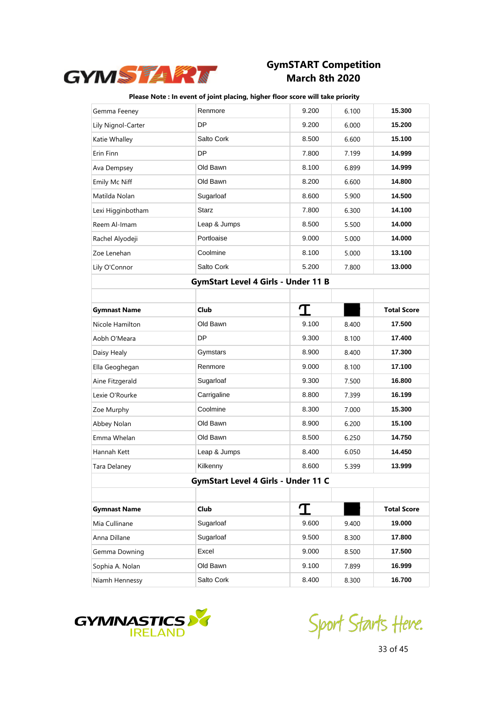

| Gemma Feeney        | Renmore                             | 9.200 | 6.100 | 15.300             |
|---------------------|-------------------------------------|-------|-------|--------------------|
| Lily Nignol-Carter  | DP                                  | 9.200 | 6.000 | 15.200             |
| Katie Whalley       | Salto Cork                          | 8.500 | 6.600 | 15.100             |
| Erin Finn           | DP                                  | 7.800 | 7.199 | 14.999             |
| Ava Dempsey         | Old Bawn                            | 8.100 | 6.899 | 14.999             |
| Emily Mc Niff       | Old Bawn                            | 8.200 | 6.600 | 14.800             |
| Matilda Nolan       | Sugarloaf                           | 8.600 | 5.900 | 14.500             |
| Lexi Higginbotham   | <b>Starz</b>                        | 7.800 | 6.300 | 14.100             |
| Reem Al-Imam        | Leap & Jumps                        | 8.500 | 5.500 | 14.000             |
| Rachel Alyodeji     | Portloaise                          | 9.000 | 5.000 | 14.000             |
| Zoe Lenehan         | Coolmine                            | 8.100 | 5.000 | 13.100             |
| Lily O'Connor       | Salto Cork                          | 5.200 | 7.800 | 13.000             |
|                     | GymStart Level 4 Girls - Under 11 B |       |       |                    |
|                     |                                     |       |       |                    |
| <b>Gymnast Name</b> | <b>Club</b>                         | I     |       | <b>Total Score</b> |
| Nicole Hamilton     | Old Bawn                            | 9.100 | 8.400 | 17.500             |
| Aobh O'Meara        | <b>DP</b>                           | 9.300 | 8.100 | 17.400             |
| Daisy Healy         | Gymstars                            | 8.900 | 8.400 | 17.300             |
| Ella Geoghegan      | Renmore                             | 9.000 | 8.100 | 17.100             |
| Aine Fitzgerald     | Sugarloaf                           | 9.300 | 7.500 | 16.800             |
| Lexie O'Rourke      | Carrigaline                         | 8.800 | 7.399 | 16.199             |
| Zoe Murphy          | Coolmine                            | 8.300 | 7.000 | 15.300             |
| Abbey Nolan         | Old Bawn                            | 8.900 | 6.200 | 15.100             |
| Emma Whelan         | Old Bawn                            | 8.500 | 6.250 | 14.750             |
| Hannah Kett         | Leap & Jumps                        | 8.400 | 6.050 | 14.450             |
| Tara Delaney        | Kilkenny                            | 8.600 | 5.399 | 13.999             |
|                     | GymStart Level 4 Girls - Under 11 C |       |       |                    |
|                     |                                     |       |       |                    |
| <b>Gymnast Name</b> | <b>Club</b>                         | I     |       | <b>Total Score</b> |
| Mia Cullinane       | Sugarloaf                           | 9.600 | 9.400 | 19.000             |
| Anna Dillane        | Sugarloaf                           | 9.500 | 8.300 | 17.800             |
| Gemma Downing       | Excel                               | 9.000 | 8.500 | 17.500             |
| Sophia A. Nolan     | Old Bawn                            | 9.100 | 7.899 | 16.999             |
| Niamh Hennessy      | Salto Cork                          | 8.400 | 8.300 | 16.700             |



Sport Starts Heve.

33 of 45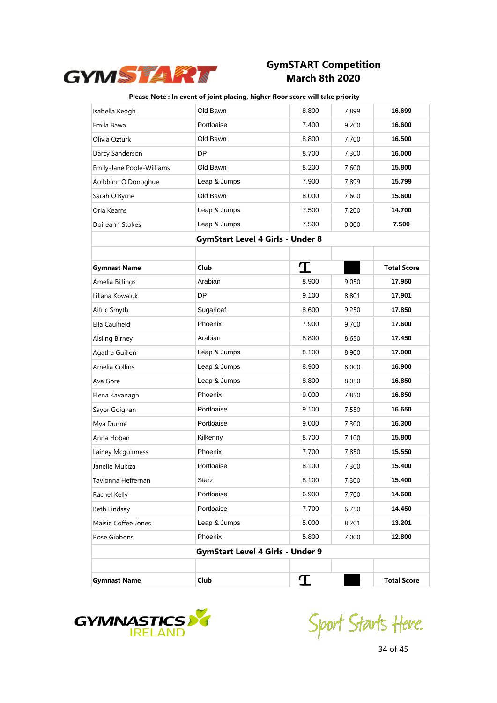

| Isabella Keogh            | Old Bawn                                | 8.800 | 7.899 | 16.699             |
|---------------------------|-----------------------------------------|-------|-------|--------------------|
| Emila Bawa                | Portloaise                              | 7.400 | 9.200 | 16.600             |
| Olivia Ozturk             | Old Bawn                                | 8.800 | 7.700 | 16.500             |
| Darcy Sanderson           | DP                                      | 8.700 | 7.300 | 16.000             |
| Emily-Jane Poole-Williams | Old Bawn                                | 8.200 | 7.600 | 15.800             |
| Aoibhinn O'Donoghue       | Leap & Jumps                            | 7.900 | 7.899 | 15.799             |
| Sarah O'Byrne             | Old Bawn                                | 8.000 | 7.600 | 15.600             |
| Orla Kearns               | Leap & Jumps                            | 7.500 | 7.200 | 14.700             |
| Doireann Stokes           | Leap & Jumps                            | 7.500 | 0.000 | 7.500              |
|                           | <b>GymStart Level 4 Girls - Under 8</b> |       |       |                    |
|                           |                                         |       |       |                    |
| <b>Gymnast Name</b>       | <b>Club</b>                             | I     |       | <b>Total Score</b> |
| Amelia Billings           | Arabian                                 | 8.900 | 9.050 | 17.950             |
| Liliana Kowaluk           | DP                                      | 9.100 | 8.801 | 17.901             |
| Aifric Smyth              | Sugarloaf                               | 8.600 | 9.250 | 17.850             |
| Ella Caulfield            | Phoenix                                 | 7.900 | 9.700 | 17.600             |
| Aisling Birney            | Arabian                                 | 8.800 | 8.650 | 17.450             |
| Agatha Guillen            | Leap & Jumps                            | 8.100 | 8.900 | 17.000             |
| Amelia Collins            | Leap & Jumps                            | 8.900 | 8.000 | 16.900             |
| Ava Gore                  | Leap & Jumps                            | 8.800 | 8.050 | 16.850             |
| Elena Kavanagh            | Phoenix                                 | 9.000 | 7.850 | 16.850             |
| Sayor Goignan             | Portloaise                              | 9.100 | 7.550 | 16.650             |
| Mya Dunne                 | Portloaise                              | 9.000 | 7.300 | 16.300             |
| Anna Hoban                | Kilkenny                                | 8.700 | 7.100 | 15.800             |
| Lainey Mcguinness         | Phoenix                                 | 7.700 | 7.850 | 15.550             |
| Janelle Mukiza            | Portloaise                              | 8.100 | 7.300 | 15.400             |
| Tavionna Heffernan        | <b>Starz</b>                            | 8.100 | 7.300 | 15.400             |
| Rachel Kelly              | Portloaise                              | 6.900 | 7.700 | 14.600             |
| Beth Lindsay              | Portloaise                              | 7.700 | 6.750 | 14.450             |
| Maisie Coffee Jones       | Leap & Jumps                            | 5.000 | 8.201 | 13.201             |
| Rose Gibbons              | Phoenix                                 | 5.800 | 7.000 | 12.800             |
|                           | <b>GymStart Level 4 Girls - Under 9</b> |       |       |                    |
|                           |                                         |       |       |                    |
| <b>Gymnast Name</b>       | Club                                    | I     |       | <b>Total Score</b> |



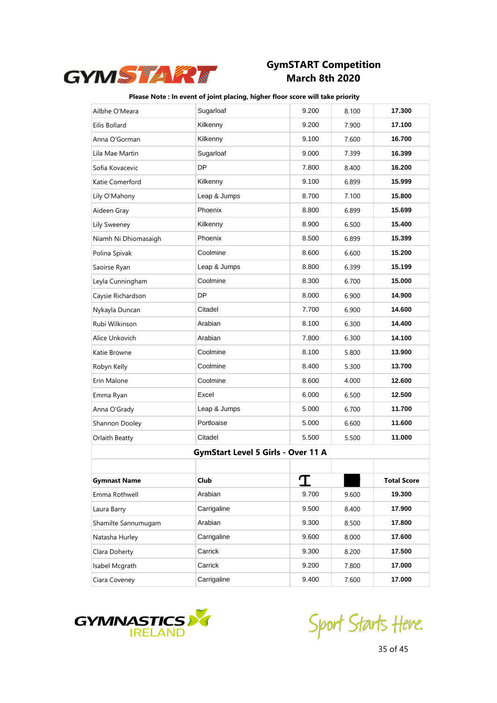

| Ailbhe O'Meara       | Sugarloaf                          | 9.200 | 8.100 | 17.300             |
|----------------------|------------------------------------|-------|-------|--------------------|
| Eilis Bollard        | Kilkenny                           | 9.200 | 7.900 | 17.100             |
| Anna O'Gorman        | Kilkenny                           | 9.100 | 7.600 | 16.700             |
| Lila Mae Martin      | Sugarloaf                          | 9.000 | 7.399 | 16.399             |
| Sofia Kovacevic      | DP                                 | 7.800 | 8.400 | 16.200             |
| Katie Comerford      | Kilkenny                           | 9.100 | 6.899 | 15.999             |
| Lily O'Mahony        | Leap & Jumps                       | 8.700 | 7.100 | 15.800             |
| Aideen Gray          | Phoenix                            | 8.800 | 6.899 | 15.699             |
| Lily Sweeney         | Kilkenny                           | 8.900 | 6.500 | 15.400             |
| Niamh Ni Dhiomasaigh | Phoenix                            | 8.500 | 6.899 | 15.399             |
| Polina Spivak        | Coolmine                           | 8.600 | 6.600 | 15.200             |
| Saoirse Ryan         | Leap & Jumps                       | 8.800 | 6.399 | 15.199             |
| Leyla Cunningham     | Coolmine                           | 8.300 | 6.700 | 15.000             |
| Caysie Richardson    | DP                                 | 8.000 | 6.900 | 14.900             |
| Nykayla Duncan       | Citadel                            | 7.700 | 6.900 | 14.600             |
| Rubi Wilkinson       | Arabian                            | 8.100 | 6.300 | 14.400             |
| Alice Unkovich       | Arabian                            | 7.800 | 6.300 | 14.100             |
| Katie Browne         | Coolmine                           | 8.100 | 5.800 | 13.900             |
| Robyn Kelly          | Coolmine                           | 8.400 | 5.300 | 13.700             |
| Erin Malone          | Coolmine                           | 8.600 | 4.000 | 12.600             |
| Emma Ryan            | Excel                              | 6.000 | 6.500 | 12.500             |
| Anna O'Grady         | Leap & Jumps                       | 5.000 | 6.700 | 11.700             |
| Shannon Dooley       | Portloaise                         | 5.000 | 6.600 | 11.600             |
| Orlaith Beatty       | Citadel                            | 5.500 | 5.500 | 11.000             |
|                      | GymStart Level 5 Girls - Over 11 A |       |       |                    |
|                      |                                    |       |       |                    |
| Gymnast Name         | Club                               | I     |       | <b>Total Score</b> |
| Emma Rothwell        | Arabian                            | 9.700 | 9.600 | 19.300             |
| Laura Barry          | Carrigaline                        | 9.500 | 8.400 | 17.900             |
| Shamilte Sannumugam  | Arabian                            | 9.300 | 8.500 | 17.800             |
| Natasha Hurley       | Carrigaline                        | 9.600 | 8.000 | 17.600             |
| Clara Doherty        | Carrick                            | 9.300 | 8.200 | 17.500             |
| Isabel Mcgrath       | Carrick                            | 9.200 | 7.800 | 17.000             |
| Ciara Coveney        | Carrigaline                        | 9.400 | 7.600 | 17.000             |



Sport Starts Heve.

35 of 45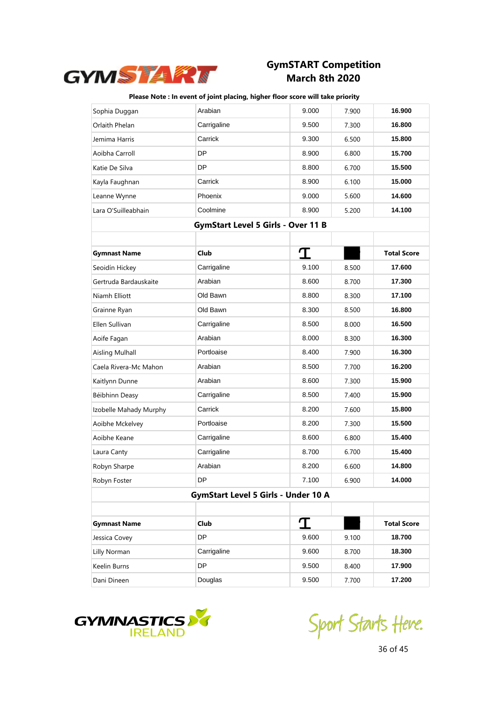

| Sophia Duggan                              | Arabian                                   | 9.000 | 7.900 | 16.900             |
|--------------------------------------------|-------------------------------------------|-------|-------|--------------------|
| Orlaith Phelan                             | Carrigaline                               | 9.500 | 7.300 | 16.800             |
| Jemima Harris                              | Carrick                                   | 9.300 | 6.500 | 15.800             |
| Aoibha Carroll                             | DP                                        | 8.900 | 6.800 | 15.700             |
| Katie De Silva                             | DP                                        | 8.800 | 6.700 | 15.500             |
| Kayla Faughnan                             | Carrick                                   | 8.900 | 6.100 | 15.000             |
| Leanne Wynne                               | Phoenix                                   | 9.000 | 5.600 | 14.600             |
| Lara O'Suilleabhain                        | Coolmine                                  | 8.900 | 5.200 | 14.100             |
|                                            | <b>GymStart Level 5 Girls - Over 11 B</b> |       |       |                    |
|                                            |                                           |       |       |                    |
| <b>Gymnast Name</b>                        | Club                                      | I     |       | <b>Total Score</b> |
| Seoidín Hickey                             | Carrigaline                               | 9.100 | 8.500 | 17.600             |
| Gertruda Bardauskaite                      | Arabian                                   | 8.600 | 8.700 | 17.300             |
| Niamh Elliott                              | Old Bawn                                  | 8.800 | 8.300 | 17.100             |
| Grainne Ryan                               | Old Bawn                                  | 8.300 | 8.500 | 16.800             |
| Ellen Sullivan                             | Carrigaline                               | 8.500 | 8.000 | 16.500             |
| Aoife Fagan                                | Arabian                                   | 8.000 | 8.300 | 16.300             |
| <b>Aisling Mulhall</b>                     | Portloaise                                | 8.400 | 7.900 | 16.300             |
| Caela Rivera-Mc Mahon                      | Arabian                                   | 8.500 | 7.700 | 16.200             |
| Kaitlynn Dunne                             | Arabian                                   | 8.600 | 7.300 | 15.900             |
| Béibhinn Deasy                             | Carrigaline                               | 8.500 | 7.400 | 15.900             |
| Izobelle Mahady Murphy                     | Carrick                                   | 8.200 | 7.600 | 15.800             |
| Aoibhe Mckelvey                            | Portloaise                                | 8.200 | 7.300 | 15.500             |
| Aoibhe Keane                               | Carrigaline                               | 8.600 | 6.800 | 15.400             |
| Laura Canty                                | Carrigaline                               | 8.700 | 6.700 | 15.400             |
| Robyn Sharpe                               | Arabian                                   | 8.200 | 6.600 | 14.800             |
| Robyn Foster                               | DP                                        | 7.100 | 6.900 | 14.000             |
| <b>GymStart Level 5 Girls - Under 10 A</b> |                                           |       |       |                    |
|                                            |                                           |       |       |                    |
| <b>Gymnast Name</b>                        | Club                                      | I     |       | <b>Total Score</b> |
| Jessica Covey                              | DP                                        | 9.600 | 9.100 | 18.700             |
| Lilly Norman                               | Carrigaline                               | 9.600 | 8.700 | 18.300             |
| Keelin Burns                               | DP                                        | 9.500 | 8.400 | 17.900             |
| Dani Dineen                                | Douglas                                   | 9.500 | 7.700 | 17.200             |



Sport Starts Heve.

36 of 45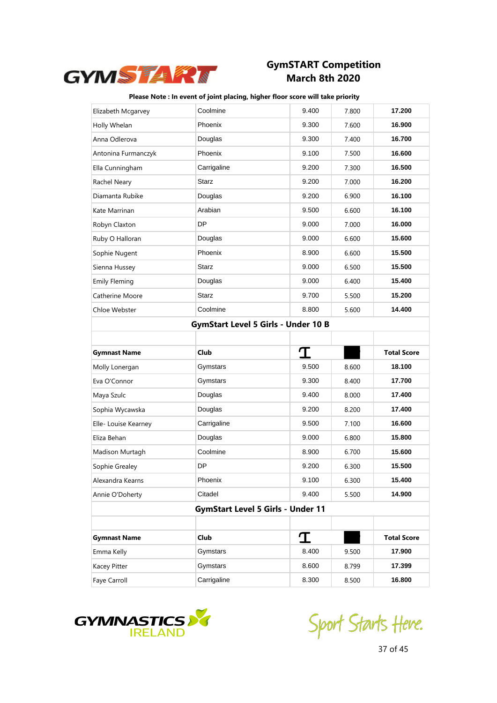

| Elizabeth Mcgarvey                         | Coolmine                                 | 9.400 | 7.800 | 17.200             |  |  |
|--------------------------------------------|------------------------------------------|-------|-------|--------------------|--|--|
| Holly Whelan                               | Phoenix                                  | 9.300 | 7.600 | 16.900             |  |  |
| Anna Odlerova                              | Douglas                                  | 9.300 | 7.400 | 16.700             |  |  |
| Antonina Furmanczyk                        | Phoenix                                  | 9.100 | 7.500 | 16.600             |  |  |
| Ella Cunningham                            | Carrigaline                              | 9.200 | 7.300 | 16.500             |  |  |
| Rachel Neary                               | <b>Starz</b>                             | 9.200 | 7.000 | 16.200             |  |  |
| Diamanta Rubike                            | Douglas                                  | 9.200 | 6.900 | 16.100             |  |  |
| Kate Marrinan                              | Arabian                                  | 9.500 | 6.600 | 16.100             |  |  |
| Robyn Claxton                              | <b>DP</b>                                | 9.000 | 7.000 | 16.000             |  |  |
| Ruby O Halloran                            | Douglas                                  | 9.000 | 6.600 | 15.600             |  |  |
| Sophie Nugent                              | Phoenix                                  | 8.900 | 6.600 | 15.500             |  |  |
| Sienna Hussey                              | <b>Starz</b>                             | 9.000 | 6.500 | 15.500             |  |  |
| <b>Emily Fleming</b>                       | Douglas                                  | 9.000 | 6.400 | 15.400             |  |  |
| Catherine Moore                            | <b>Starz</b>                             | 9.700 | 5.500 | 15.200             |  |  |
| Chloe Webster                              | Coolmine                                 | 8.800 | 5.600 | 14.400             |  |  |
| <b>GymStart Level 5 Girls - Under 10 B</b> |                                          |       |       |                    |  |  |
|                                            |                                          |       |       |                    |  |  |
|                                            |                                          |       |       |                    |  |  |
| <b>Gymnast Name</b>                        | Club                                     | I     |       | <b>Total Score</b> |  |  |
| Molly Lonergan                             | Gymstars                                 | 9.500 | 8.600 | 18.100             |  |  |
| Eva O'Connor                               | Gymstars                                 | 9.300 | 8.400 | 17.700             |  |  |
| Maya Szulc                                 | Douglas                                  | 9.400 | 8.000 | 17.400             |  |  |
| Sophia Wycawska                            | Douglas                                  | 9.200 | 8.200 | 17.400             |  |  |
| Elle- Louise Kearney                       | Carrigaline                              | 9.500 | 7.100 | 16.600             |  |  |
| Eliza Behan                                | Douglas                                  | 9.000 | 6.800 | 15.800             |  |  |
| Madison Murtagh                            | Coolmine                                 | 8.900 | 6.700 | 15.600             |  |  |
| Sophie Grealey                             | DP                                       | 9.200 | 6.300 | 15.500             |  |  |
| Alexandra Kearns                           | Phoenix                                  | 9.100 | 6.300 | 15.400             |  |  |
| Annie O'Doherty                            | Citadel                                  | 9.400 | 5.500 | 14.900             |  |  |
|                                            | <b>GymStart Level 5 Girls - Under 11</b> |       |       |                    |  |  |
|                                            |                                          |       |       |                    |  |  |
| <b>Gymnast Name</b>                        | <b>Club</b>                              | I     |       | <b>Total Score</b> |  |  |
| Emma Kelly                                 | Gymstars                                 | 8.400 | 9.500 | 17.900             |  |  |
| Kacey Pitter                               | Gymstars                                 | 8.600 | 8.799 | 17.399             |  |  |



Sport Starts Heve.

37 of 45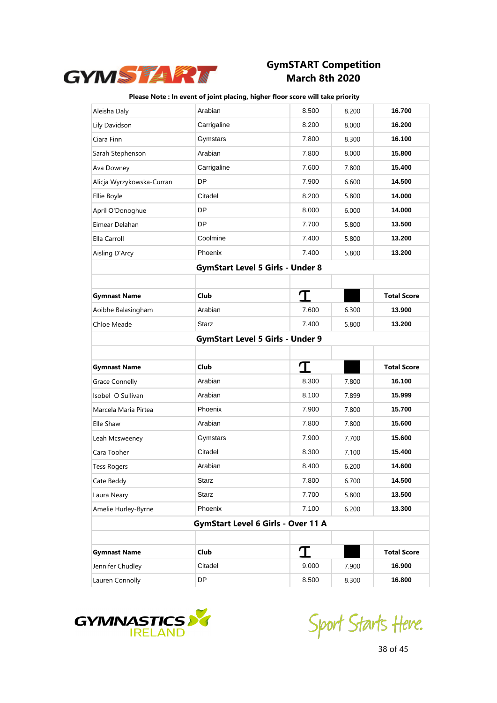

| Aleisha Daly              | Arabian                                 | 8.500 | 8.200 | 16.700             |
|---------------------------|-----------------------------------------|-------|-------|--------------------|
| Lily Davidson             | Carrigaline                             | 8.200 | 8.000 | 16.200             |
| Ciara Finn                | Gymstars                                | 7.800 | 8.300 | 16.100             |
| Sarah Stephenson          | Arabian                                 | 7.800 | 8.000 | 15.800             |
| Ava Downey                | Carrigaline                             | 7.600 | 7.800 | 15.400             |
| Alicja Wyrzykowska-Curran | DP                                      | 7.900 | 6.600 | 14.500             |
| Ellie Boyle               | Citadel                                 | 8.200 | 5.800 | 14.000             |
| April O'Donoghue          | DP                                      | 8.000 | 6.000 | 14.000             |
| Eimear Delahan            | DP                                      | 7.700 | 5.800 | 13.500             |
| Ella Carroll              | Coolmine                                | 7.400 | 5.800 | 13.200             |
| Aisling D'Arcy            | Phoenix                                 | 7.400 | 5.800 | 13.200             |
|                           | <b>GymStart Level 5 Girls - Under 8</b> |       |       |                    |
|                           |                                         |       |       |                    |
| <b>Gymnast Name</b>       | Club                                    | I     |       | <b>Total Score</b> |
| Aoibhe Balasingham        | Arabian                                 | 7.600 | 6.300 | 13.900             |
| Chloe Meade               | <b>Starz</b>                            | 7.400 | 5.800 | 13.200             |
|                           | <b>GymStart Level 5 Girls - Under 9</b> |       |       |                    |
|                           |                                         |       |       |                    |
|                           |                                         |       |       |                    |
| <b>Gymnast Name</b>       | <b>Club</b>                             | T     |       | <b>Total Score</b> |
| <b>Grace Connelly</b>     | Arabian                                 | 8.300 | 7.800 | 16.100             |
| Isobel O Sullivan         | Arabian                                 | 8.100 | 7.899 | 15.999             |
| Marcela Maria Pirtea      | Phoenix                                 | 7.900 | 7.800 | 15.700             |
| Elle Shaw                 | Arabian                                 | 7.800 | 7.800 | 15.600             |
| Leah Mcsweeney            | Gymstars                                | 7.900 | 7.700 | 15.600             |
| Cara Tooher               | Citadel                                 | 8.300 | 7.100 | 15.400             |
| <b>Tess Rogers</b>        | Arabian                                 | 8.400 | 6.200 | 14.600             |
| Cate Beddy                | <b>Starz</b>                            | 7.800 | 6.700 | 14.500             |
| Laura Neary               | Starz                                   | 7.700 | 5.800 | 13.500             |
| Amelie Hurley-Byrne       | Phoenix                                 | 7.100 | 6.200 | 13.300             |
|                           | GymStart Level 6 Girls - Over 11 A      |       |       |                    |
|                           |                                         |       |       |                    |
| <b>Gymnast Name</b>       | Club                                    | T     |       | <b>Total Score</b> |
| Jennifer Chudley          | Citadel                                 | 9.000 | 7.900 | 16.900             |



Sport Starts Heve.

38 of 45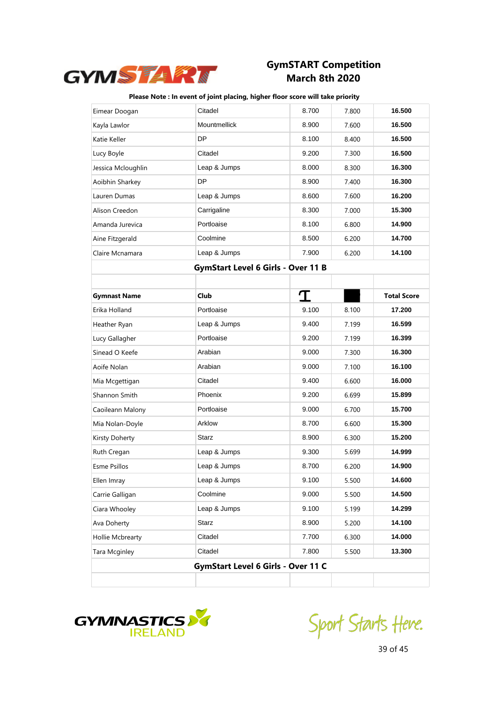

| Eimear Doogan       | Citadel                            | 8.700 | 7.800 | 16.500             |
|---------------------|------------------------------------|-------|-------|--------------------|
| Kayla Lawlor        | Mountmellick                       | 8.900 | 7.600 | 16.500             |
| Katie Keller        | DP                                 | 8.100 | 8.400 | 16.500             |
| Lucy Boyle          | Citadel                            | 9.200 | 7.300 | 16.500             |
| Jessica Mcloughlin  | Leap & Jumps                       | 8.000 | 8.300 | 16.300             |
| Aoibhin Sharkey     | DP                                 | 8.900 | 7.400 | 16.300             |
| Lauren Dumas        | Leap & Jumps                       | 8.600 | 7.600 | 16.200             |
| Alison Creedon      | Carrigaline                        | 8.300 | 7.000 | 15.300             |
| Amanda Jurevica     | Portloaise                         | 8.100 | 6.800 | 14.900             |
| Aine Fitzgerald     | Coolmine                           | 8.500 | 6.200 | 14.700             |
| Claire Mcnamara     | Leap & Jumps                       | 7.900 | 6.200 | 14.100             |
|                     | GymStart Level 6 Girls - Over 11 B |       |       |                    |
|                     |                                    |       |       |                    |
| <b>Gymnast Name</b> | Club                               | T     |       | <b>Total Score</b> |
| Erika Holland       | Portloaise                         | 9.100 | 8.100 | 17.200             |
| Heather Ryan        | Leap & Jumps                       | 9.400 | 7.199 | 16.599             |
| Lucy Gallagher      | Portloaise                         | 9.200 | 7.199 | 16.399             |
| Sinead O Keefe      | Arabian                            | 9.000 | 7.300 | 16.300             |
| Aoife Nolan         | Arabian                            | 9.000 | 7.100 | 16.100             |
| Mia Mcgettigan      | Citadel                            | 9.400 | 6.600 | 16.000             |
| Shannon Smith       | Phoenix                            | 9.200 | 6.699 | 15.899             |
| Caoileann Malony    | Portloaise                         | 9.000 | 6.700 | 15.700             |
| Mia Nolan-Doyle     | Arklow                             | 8.700 | 6.600 | 15.300             |
| Kirsty Doherty      | <b>Starz</b>                       | 8.900 | 6.300 | 15.200             |
| Ruth Cregan         | Leap & Jumps                       | 9.300 | 5.699 | 14.999             |
| <b>Esme Psillos</b> | Leap & Jumps                       | 8.700 | 6.200 | 14.900             |
| Ellen Imray         | Leap & Jumps                       | 9.100 | 5.500 | 14.600             |
| Carrie Galligan     | Coolmine                           | 9.000 | 5.500 | 14.500             |
| Ciara Whooley       | Leap & Jumps                       | 9.100 | 5.199 | 14.299             |
| Ava Doherty         | Starz                              | 8.900 | 5.200 | 14.100             |
| Hollie Mcbrearty    | Citadel                            | 7.700 | 6.300 | 14.000             |
| Tara Mcginley       | Citadel                            | 7.800 | 5.500 | 13.300             |
|                     | GymStart Level 6 Girls - Over 11 C |       |       |                    |
|                     |                                    |       |       |                    |



Sport Starts Heve.

39 of 45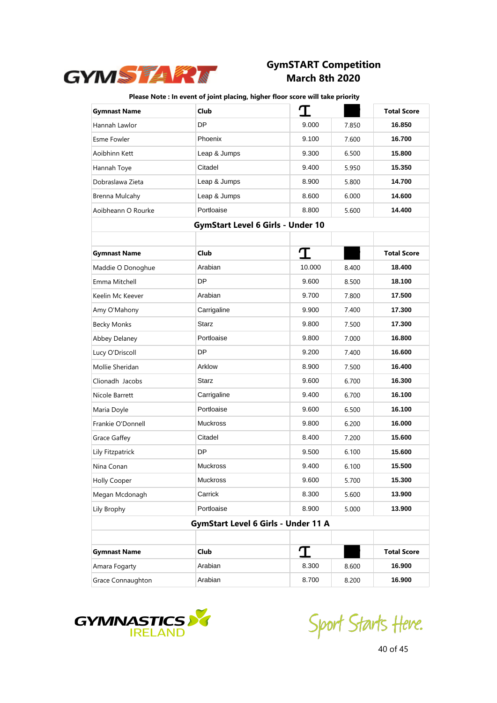

| <b>Gymnast Name</b> | Club                                       | T      |       | <b>Total Score</b> |
|---------------------|--------------------------------------------|--------|-------|--------------------|
| Hannah Lawlor       | DP                                         | 9.000  | 7.850 | 16.850             |
| Esme Fowler         | Phoenix                                    | 9.100  | 7.600 | 16.700             |
| Aoibhinn Kett       | Leap & Jumps                               | 9.300  | 6.500 | 15.800             |
| Hannah Toye         | Citadel                                    | 9.400  | 5.950 | 15.350             |
| Dobraslawa Zieta    | Leap & Jumps                               | 8.900  | 5.800 | 14.700             |
| Brenna Mulcahy      | Leap & Jumps                               | 8.600  | 6.000 | 14.600             |
| Aoibheann O Rourke  | Portloaise                                 | 8.800  | 5.600 | 14.400             |
|                     | <b>GymStart Level 6 Girls - Under 10</b>   |        |       |                    |
|                     |                                            |        |       |                    |
| <b>Gymnast Name</b> | Club                                       | I      |       | <b>Total Score</b> |
| Maddie O Donoghue   | Arabian                                    | 10.000 | 8.400 | 18.400             |
| Emma Mitchell       | DP                                         | 9.600  | 8.500 | 18.100             |
| Keelin Mc Keever    | Arabian                                    | 9.700  | 7.800 | 17.500             |
| Amy O'Mahony        | Carrigaline                                | 9.900  | 7.400 | 17.300             |
| <b>Becky Monks</b>  | <b>Starz</b>                               | 9.800  | 7.500 | 17.300             |
| Abbey Delaney       | Portloaise                                 | 9.800  | 7.000 | 16.800             |
| Lucy O'Driscoll     | DP                                         | 9.200  | 7.400 | 16.600             |
| Mollie Sheridan     | Arklow                                     | 8.900  | 7.500 | 16.400             |
| Clionadh Jacobs     | <b>Starz</b>                               | 9.600  | 6.700 | 16.300             |
| Nicole Barrett      | Carrigaline                                | 9.400  | 6.700 | 16.100             |
| Maria Doyle         | Portloaise                                 | 9.600  | 6.500 | 16.100             |
| Frankie O'Donnell   | <b>Muckross</b>                            | 9.800  | 6.200 | 16.000             |
| <b>Grace Gaffey</b> | Citadel                                    | 8.400  | 7.200 | 15.600             |
| Lily Fitzpatrick    | DP                                         | 9.500  | 6.100 | 15.600             |
| Nina Conan          | <b>Muckross</b>                            | 9.400  | 6.100 | 15.500             |
| <b>Holly Cooper</b> | Muckross                                   | 9.600  | 5.700 | 15.300             |
| Megan Mcdonagh      | Carrick                                    | 8.300  | 5.600 | 13.900             |
| Lily Brophy         | Portloaise                                 | 8.900  | 5.000 | 13.900             |
|                     | <b>GymStart Level 6 Girls - Under 11 A</b> |        |       |                    |
|                     |                                            |        |       |                    |
| <b>Gymnast Name</b> | Club                                       | I      |       | <b>Total Score</b> |
| Amara Fogarty       | Arabian                                    | 8.300  | 8.600 | 16.900             |
| Grace Connaughton   | Arabian                                    | 8.700  | 8.200 | 16.900             |



Sport Starts Heve.

40 of 45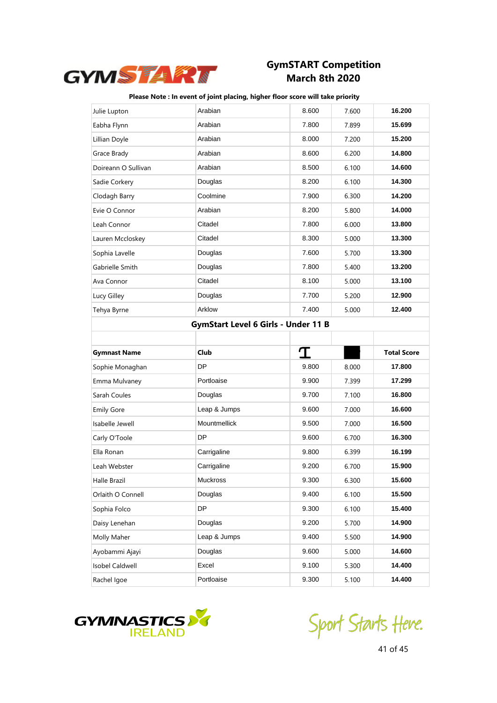

#### **Please Note : In event of joint placing, higher floor score will take priority**

|                     | Arabian                                    |       |       | 16.200             |
|---------------------|--------------------------------------------|-------|-------|--------------------|
| Julie Lupton        |                                            | 8.600 | 7.600 |                    |
| Eabha Flynn         | Arabian                                    | 7.800 | 7.899 | 15.699             |
| Lillian Doyle       | Arabian                                    | 8.000 | 7.200 | 15.200             |
| Grace Brady         | Arabian                                    | 8.600 | 6.200 | 14.800             |
| Doireann O Sullivan | Arabian                                    | 8.500 | 6.100 | 14.600             |
| Sadie Corkery       | Douglas                                    | 8.200 | 6.100 | 14.300             |
| Clodagh Barry       | Coolmine                                   | 7.900 | 6.300 | 14.200             |
| Evie O Connor       | Arabian                                    | 8.200 | 5.800 | 14.000             |
| Leah Connor         | Citadel                                    | 7.800 | 6.000 | 13.800             |
| Lauren Mccloskey    | Citadel                                    | 8.300 | 5.000 | 13.300             |
| Sophia Lavelle      | Douglas                                    | 7.600 | 5.700 | 13.300             |
| Gabrielle Smith     | Douglas                                    | 7.800 | 5.400 | 13.200             |
| Ava Connor          | Citadel                                    | 8.100 | 5.000 | 13.100             |
| Lucy Gilley         | Douglas                                    | 7.700 | 5.200 | 12.900             |
| Tehya Byrne         | Arklow                                     | 7.400 | 5.000 | 12.400             |
|                     | <b>GymStart Level 6 Girls - Under 11 B</b> |       |       |                    |
|                     |                                            |       |       |                    |
|                     |                                            |       |       |                    |
| <b>Gymnast Name</b> | Club                                       | I     |       | <b>Total Score</b> |
| Sophie Monaghan     | DP                                         | 9.800 | 8.000 | 17.800             |
| Emma Mulvaney       | Portloaise                                 | 9.900 | 7.399 | 17.299             |
| Sarah Coules        | Douglas                                    | 9.700 | 7.100 | 16.800             |
| <b>Emily Gore</b>   | Leap & Jumps                               | 9.600 | 7.000 | 16.600             |
| Isabelle Jewell     | Mountmellick                               | 9.500 | 7.000 | 16.500             |
| Carly O'Toole       | DP                                         | 9.600 | 6.700 | 16.300             |
| Ella Ronan          | Carrigaline                                | 9.800 | 6.399 | 16.199             |
| Leah Webster        | Carrigaline                                | 9.200 | 6.700 | 15.900             |
| Halle Brazil        | Muckross                                   | 9.300 | 6.300 | 15.600             |
| Orlaith O Connell   | Douglas                                    | 9.400 | 6.100 | 15.500             |
| Sophia Folco        | DP                                         | 9.300 | 6.100 | 15.400             |
| Daisy Lenehan       | Douglas                                    | 9.200 | 5.700 | 14.900             |
| Molly Maher         | Leap & Jumps                               | 9.400 | 5.500 | 14.900             |
| Ayobammi Ajayi      | Douglas                                    | 9.600 | 5.000 | 14.600             |
| Isobel Caldwell     | Excel                                      | 9.100 | 5.300 | 14.400             |



Sport Starts Heve.

41 of 45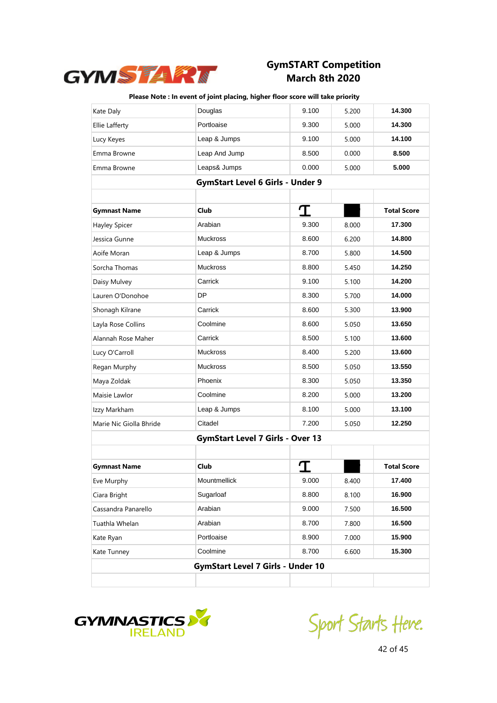

| Kate Daly               | Douglas                                  | 9.100 | 5.200 | 14.300             |
|-------------------------|------------------------------------------|-------|-------|--------------------|
| Ellie Lafferty          | Portloaise                               | 9.300 | 5.000 | 14.300             |
| Lucy Keyes              | Leap & Jumps                             | 9.100 | 5.000 | 14.100             |
| Emma Browne             | Leap And Jump                            | 8.500 | 0.000 | 8.500              |
| Emma Browne             | Leaps& Jumps                             | 0.000 | 5.000 | 5.000              |
|                         | <b>GymStart Level 6 Girls - Under 9</b>  |       |       |                    |
|                         |                                          |       |       |                    |
| <b>Gymnast Name</b>     | Club                                     | I     |       | <b>Total Score</b> |
| Hayley Spicer           | Arabian                                  | 9.300 | 8.000 | 17.300             |
| Jessica Gunne           | <b>Muckross</b>                          | 8.600 | 6.200 | 14.800             |
| Aoife Moran             | Leap & Jumps                             | 8.700 | 5.800 | 14.500             |
| Sorcha Thomas           | <b>Muckross</b>                          | 8.800 | 5.450 | 14.250             |
| Daisy Mulvey            | Carrick                                  | 9.100 | 5.100 | 14.200             |
| Lauren O'Donohoe        | <b>DP</b>                                | 8.300 | 5.700 | 14.000             |
| Shonagh Kilrane         | Carrick                                  | 8.600 | 5.300 | 13.900             |
| Layla Rose Collins      | Coolmine                                 | 8.600 | 5.050 | 13.650             |
| Alannah Rose Maher      | Carrick                                  | 8.500 | 5.100 | 13.600             |
| Lucy O'Carroll          | <b>Muckross</b>                          | 8.400 | 5.200 | 13.600             |
| Regan Murphy            | <b>Muckross</b>                          | 8.500 | 5.050 | 13.550             |
| Maya Zoldak             | Phoenix                                  | 8.300 | 5.050 | 13.350             |
| Maisie Lawlor           | Coolmine                                 | 8.200 | 5.000 | 13.200             |
| Izzy Markham            | Leap & Jumps                             | 8.100 | 5.000 | 13.100             |
| Marie Nic Giolla Bhride | Citadel                                  | 7.200 | 5.050 | 12.250             |
|                         | <b>GymStart Level 7 Girls - Over 13</b>  |       |       |                    |
|                         |                                          |       |       |                    |
| <b>Gymnast Name</b>     | Club                                     |       |       | <b>Total Score</b> |
| Eve Murphy              | Mountmellick                             | 9.000 | 8.400 | 17.400             |
| Ciara Bright            | Sugarloaf                                | 8.800 | 8.100 | 16.900             |
| Cassandra Panarello     | Arabian                                  | 9.000 | 7.500 | 16.500             |
| Tuathla Whelan          | Arabian                                  | 8.700 | 7.800 | 16.500             |
| Kate Ryan               | Portloaise                               | 8.900 | 7.000 | 15.900             |
| Kate Tunney             | Coolmine                                 | 8.700 | 6.600 | 15.300             |
|                         | <b>GymStart Level 7 Girls - Under 10</b> |       |       |                    |
|                         |                                          |       |       |                    |



Sport Starts Heve.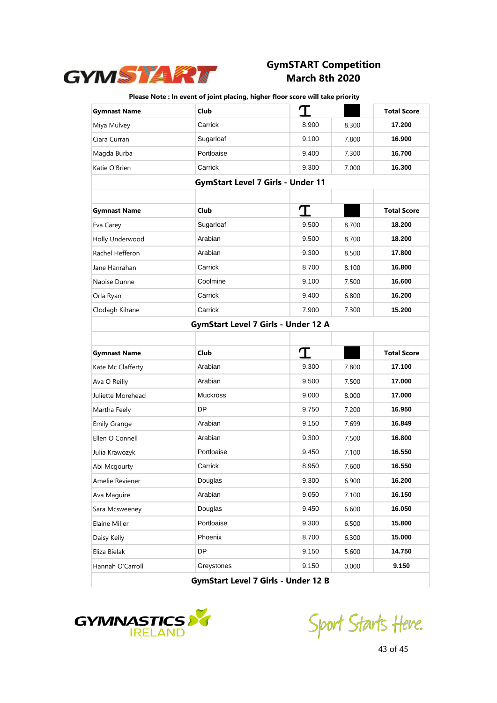

| <b>Gymnast Name</b> | Club                                       | T     |       | <b>Total Score</b> |
|---------------------|--------------------------------------------|-------|-------|--------------------|
| Miya Mulvey         | Carrick                                    | 8.900 | 8.300 | 17.200             |
| Ciara Curran        | Sugarloaf                                  | 9.100 | 7.800 | 16.900             |
| Magda Burba         | Portloaise                                 | 9.400 | 7.300 | 16.700             |
| Katie O'Brien       | Carrick                                    | 9.300 | 7.000 | 16.300             |
|                     | <b>GymStart Level 7 Girls - Under 11</b>   |       |       |                    |
|                     |                                            |       |       |                    |
| <b>Gymnast Name</b> | Club                                       | I     |       | <b>Total Score</b> |
| Eva Carey           | Sugarloaf                                  | 9.500 | 8.700 | 18.200             |
| Holly Underwood     | Arabian                                    | 9.500 | 8.700 | 18.200             |
| Rachel Hefferon     | Arabian                                    | 9.300 | 8.500 | 17.800             |
| Jane Hanrahan       | Carrick                                    | 8.700 | 8.100 | 16,800             |
| Naoise Dunne        | Coolmine                                   | 9.100 | 7.500 | 16.600             |
| Orla Ryan           | Carrick                                    | 9.400 | 6.800 | 16.200             |
| Clodagh Kilrane     | Carrick                                    | 7.900 | 7.300 | 15.200             |
|                     | <b>GymStart Level 7 Girls - Under 12 A</b> |       |       |                    |
|                     |                                            |       |       |                    |
|                     |                                            |       |       |                    |
| <b>Gymnast Name</b> | Club                                       | I     |       | <b>Total Score</b> |
| Kate Mc Clafferty   | Arabian                                    | 9.300 | 7.800 | 17.100             |
| Ava O Reilly        | Arabian                                    | 9.500 | 7.500 | 17.000             |
| Juliette Morehead   | <b>Muckross</b>                            | 9.000 | 8.000 | 17.000             |
| Martha Feely        | DP                                         | 9.750 | 7.200 | 16.950             |
| <b>Emily Grange</b> | Arabian                                    | 9.150 | 7.699 | 16.849             |
| Ellen O Connell     | Arabian                                    | 9.300 | 7.500 | 16.800             |
| Julia Krawozyk      | Portloaise                                 | 9.450 | 7.100 | 16.550             |
| Abi Mcgourty        | Carrick                                    | 8.950 | 7.600 | 16.550             |
| Amelie Reviener     | Douglas                                    | 9.300 | 6.900 | 16.200             |
| Ava Maguire         | Arabian                                    | 9.050 | 7.100 | 16.150             |
| Sara Mcsweeney      | Douglas                                    | 9.450 | 6.600 | 16.050             |
| Elaine Miller       | Portloaise                                 | 9.300 | 6.500 | 15.800             |
| Daisy Kelly         | Phoenix                                    | 8.700 | 6.300 | 15.000             |
| Eliza Bielak        | <b>DP</b>                                  | 9.150 | 5.600 | 14.750             |
| Hannah O'Carroll    | Greystones                                 | 9.150 | 0.000 | 9.150              |



Sport Starts Heve.

43 of 45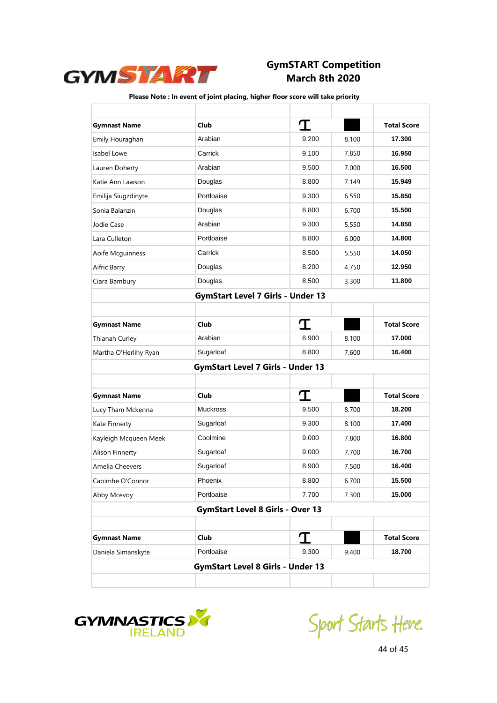

| <b>Gymnast Name</b>   | Club                                     | I     |       | <b>Total Score</b> |
|-----------------------|------------------------------------------|-------|-------|--------------------|
| Emily Houraghan       | Arabian                                  | 9.200 | 8.100 | 17.300             |
| Isabel Lowe           | Carrick                                  | 9.100 | 7.850 | 16.950             |
| Lauren Doherty        | Arabian                                  | 9.500 | 7.000 | 16.500             |
| Katie Ann Lawson      | Douglas                                  | 8.800 | 7.149 | 15.949             |
| Emilija Siugzdinyte   | Portloaise                               | 9.300 | 6.550 | 15.850             |
| Sonia Balanzin        | Douglas                                  | 8.800 | 6.700 | 15.500             |
| Jodie Case            | Arabian                                  | 9.300 | 5.550 | 14.850             |
| Lara Culleton         | Portloaise                               | 8.800 | 6.000 | 14.800             |
| Aoife Mcguinness      | Carrick                                  | 8.500 | 5.550 | 14.050             |
| Aifric Barry          | Douglas                                  | 8.200 | 4.750 | 12.950             |
| Ciara Bambury         | Douglas                                  | 8.500 | 3.300 | 11.800             |
|                       | <b>GymStart Level 7 Girls - Under 13</b> |       |       |                    |
|                       |                                          |       |       |                    |
| <b>Gymnast Name</b>   | Club                                     | T     |       | <b>Total Score</b> |
| Thianah Curley        | Arabian                                  | 8.900 | 8.100 | 17.000             |
| Martha O'Herlihy Ryan | Sugarloaf                                | 8.800 | 7.600 | 16.400             |
|                       | <b>GymStart Level 7 Girls - Under 13</b> |       |       |                    |
|                       |                                          |       |       |                    |
| <b>Gymnast Name</b>   | Club                                     | I     |       | <b>Total Score</b> |
| Lucy Tham Mckenna     | <b>Muckross</b>                          | 9.500 | 8.700 | 18.200             |
| Kate Finnerty         | Sugarloaf                                | 9.300 | 8.100 | 17.400             |
| Kayleigh Mcqueen Meek | Coolmine                                 | 9.000 | 7.800 | 16.800             |
| Alison Finnerty       | Sugarloaf                                | 9.000 | 7.700 | 16.700             |
| Amelia Cheevers       | Sugarloaf                                | 8.900 | 7.500 | 16.400             |
| Caoimhe O'Connor      | Phoenix                                  | 8.800 | 6.700 | 15.500             |
| Abby Mcevoy           | Portloaise                               | 7.700 | 7.300 | 15.000             |
|                       | <b>GymStart Level 8 Girls - Over 13</b>  |       |       |                    |
|                       |                                          |       |       |                    |
| <b>Gymnast Name</b>   | <b>Club</b>                              | I     |       | <b>Total Score</b> |
| Daniela Simanskyte    | Portloaise                               | 9.300 | 9.400 | 18.700             |
|                       | <b>GymStart Level 8 Girls - Under 13</b> |       |       |                    |
|                       |                                          |       |       |                    |



Sport Starts Heve.